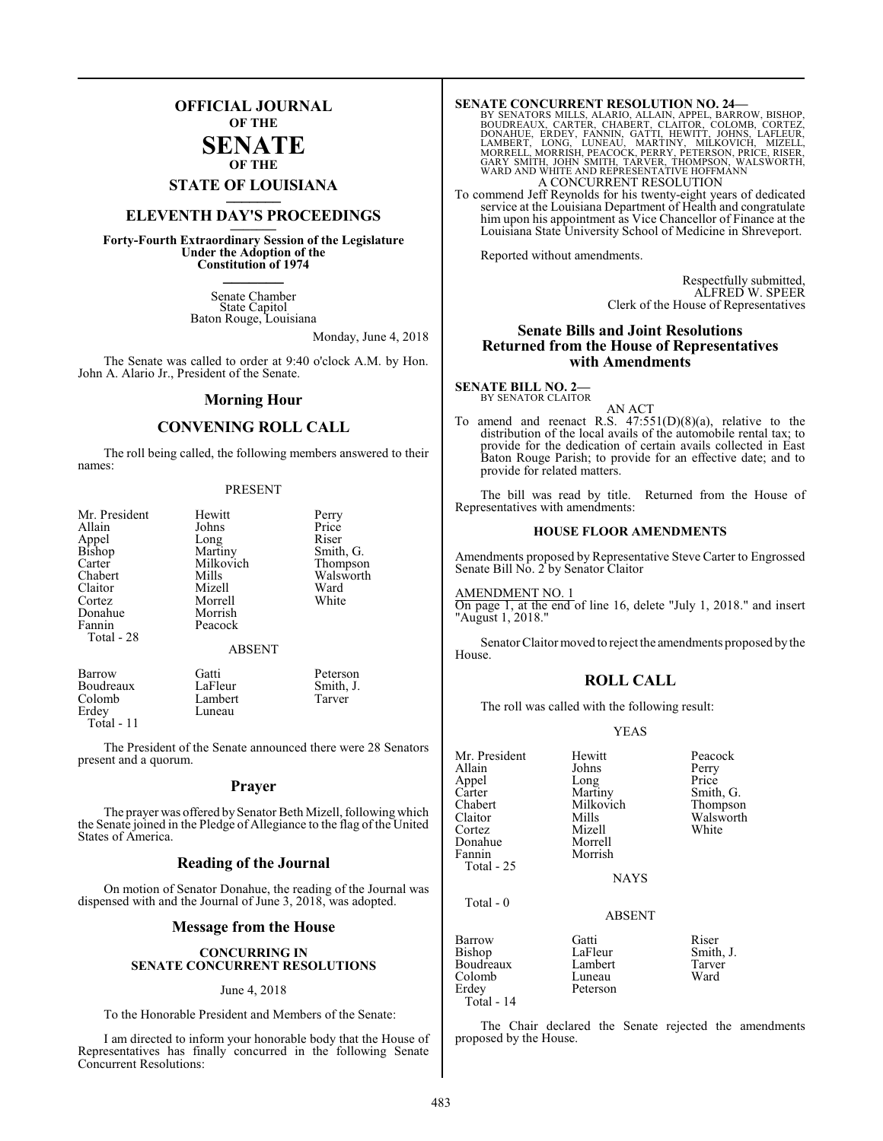## **OFFICIAL JOURNAL OF THE**

#### **SENATE OF THE**

**STATE OF LOUISIANA \_\_\_\_\_\_\_**

# **ELEVENTH DAY'S PROCEEDINGS \_\_\_\_\_\_\_**

**Forty-Fourth Extraordinary Session of the Legislature Under the Adoption of the Constitution of 1974 \_\_\_\_\_\_\_**

> Senate Chamber State Capitol Baton Rouge, Louisiana

> > Monday, June 4, 2018

The Senate was called to order at 9:40 o'clock A.M. by Hon. John A. Alario Jr., President of the Senate.

#### **Morning Hour**

#### **CONVENING ROLL CALL**

The roll being called, the following members answered to their names:

#### PRESENT

| Mr. President | Hewitt        | Perry     |
|---------------|---------------|-----------|
| Allain        | Johns         | Price     |
| Appel         | Long          | Riser     |
| Bishop        | Martiny       | Smith, G. |
| Carter        | Milkovich     | Thompson  |
| Chabert       | Mills         | Walsworth |
| Claitor       | Mizell        | Ward      |
| Cortez        | Morrell       | White     |
| Donahue       | Morrish       |           |
| Fannin        | Peacock       |           |
| Total - 28    |               |           |
|               | <b>ABSENT</b> |           |
| Barrow        | Gatti         | Peterson  |
| Boudreaux     | LaFleur       | Smith, J. |
| Colomb        | Lambert       | Tarver    |
| Erdev         | Luneau        |           |

Erdey Total - 11

The President of the Senate announced there were 28 Senators present and a quorum.

#### **Prayer**

The prayer was offered by Senator Beth Mizell, following which the Senate joined in the Pledge of Allegiance to the flag of the United States of America.

#### **Reading of the Journal**

On motion of Senator Donahue, the reading of the Journal was dispensed with and the Journal of June 3, 2018, was adopted.

#### **Message from the House**

#### **CONCURRING IN SENATE CONCURRENT RESOLUTIONS**

#### June 4, 2018

To the Honorable President and Members of the Senate:

I am directed to inform your honorable body that the House of Representatives has finally concurred in the following Senate Concurrent Resolutions:

**SENATE CONCURRENT RESOLUTION NO. 24—**<br>BY SENATORS MILLS, ALARIO, ALLAIN, APPEL, BARROW, BISHOP, BOUDREAUX, CARTER, CHABERT, CLAITOR, COLOMB, CORTEZ,<br>DONAHUE, ERDEY, FAMNIN, GATTI, HEWITT, JOHNS, LAFLEUR,<br>LAMBERT, LONG, LU A CONCURRENT RESOLUTION

To commend Jeff Reynolds for his twenty-eight years of dedicated service at the Louisiana Department of Health and congratulate him upon his appointment as Vice Chancellor of Finance at the Louisiana State University School of Medicine in Shreveport.

Reported without amendments.

Respectfully submitted, ALFRED W. SPEER Clerk of the House of Representatives

#### **Senate Bills and Joint Resolutions Returned from the House of Representatives with Amendments**

**SENATE BILL NO. 2—** BY SENATOR CLAITOR

AN ACT To amend and reenact R.S.  $47:551(D)(8)(a)$ , relative to the distribution of the local avails of the automobile rental tax; to provide for the dedication of certain avails collected in East Baton Rouge Parish; to provide for an effective date; and to provide for related matters.

The bill was read by title. Returned from the House of Representatives with amendments:

#### **HOUSE FLOOR AMENDMENTS**

Amendments proposed by Representative Steve Carter to Engrossed Senate Bill No. 2 by Senator Claitor

AMENDMENT NO. 1 On page 1, at the end of line 16, delete "July 1, 2018." and insert "August 1, 2018."

Senator Claitor moved to reject the amendments proposed by the House.

### **ROLL CALL**

The roll was called with the following result:

#### YEAS

| Mr. President | Hewitt        | Peacock   |
|---------------|---------------|-----------|
| Allain        | Johns         | Perry     |
| Appel         | Long          | Price     |
| Carter        | Martiny       | Smith, G. |
| Chabert       | Milkovich     | Thompson  |
| Claitor       | Mills         | Walsworth |
| Cortez        | Mizell        | White     |
| Donahue       | Morrell       |           |
| Fannin        | Morrish       |           |
| Total - 25    |               |           |
|               | <b>NAYS</b>   |           |
| Total - 0     |               |           |
|               | <b>ABSENT</b> |           |
| Barrow        | Gatti         | Riser     |
| Bishop        | LaFleur       | Smith, J. |
| Boudreaux     | Lambert       | Tarver    |
| Colomb        | Luneau        | Ward      |
| Erdey         | Peterson      |           |

The Chair declared the Senate rejected the amendments proposed by the House.

Total - 14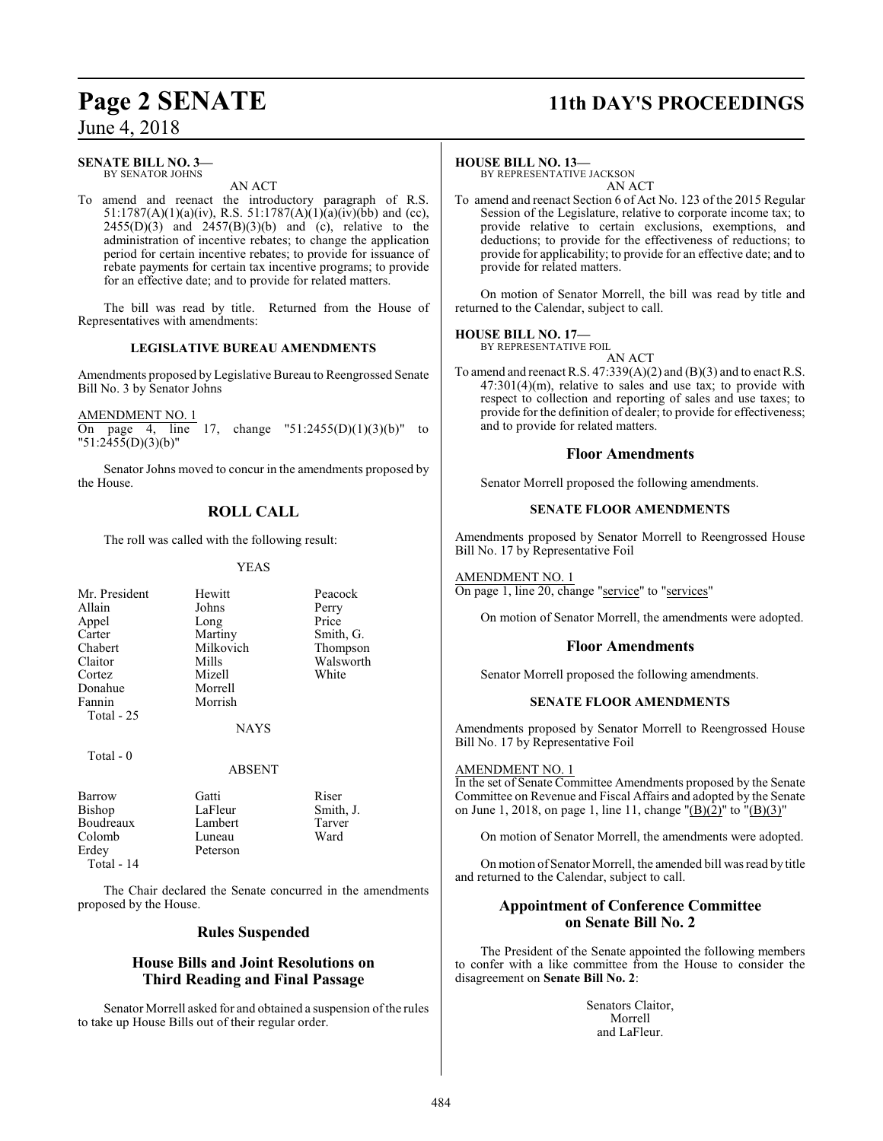# **Page 2 SENATE 11th DAY'S PROCEEDINGS**

## **SENATE BILL NO. 3—**

BY SENATOR JOHNS AN ACT

To amend and reenact the introductory paragraph of R.S. 51:1787(A)(1)(a)(iv), R.S. 51:1787(A)(1)(a)(iv)(bb) and (cc),  $2455(D)(3)$  and  $2457(B)(3)(b)$  and (c), relative to the administration of incentive rebates; to change the application period for certain incentive rebates; to provide for issuance of rebate payments for certain tax incentive programs; to provide for an effective date; and to provide for related matters.

The bill was read by title. Returned from the House of Representatives with amendments:

## **LEGISLATIVE BUREAU AMENDMENTS**

Amendments proposed by Legislative Bureau to Reengrossed Senate Bill No. 3 by Senator Johns

AMENDMENT NO. 1<br>On page 4, line  $\overline{17}$ , change "51:2455(D)(1)(3)(b)" to  $"51:2455(D)(3)(b)"$ 

Senator Johns moved to concur in the amendments proposed by the House.

## **ROLL CALL**

The roll was called with the following result:

#### YEAS

| Mr. President | Hewitt      | Peacock  |
|---------------|-------------|----------|
| Allain        | Johns       | Perry    |
| Appel         | Long        | Price    |
| Carter        | Martiny     | Smith, C |
| Chabert       | Milkovich   | Thomps   |
| Claitor       | Mills       | Walswo   |
| Cortez        | Mizell      | White    |
| Donahue       | Morrell     |          |
| Fannin        | Morrish     |          |
| Total - 25    |             |          |
|               | <b>NAYS</b> |          |
|               |             |          |

Exercise Smith, G.<br>
Exercise Smith, G.<br>
Thompson s Walsworth<br>
ell White

Thompson

#### Total - 0

#### ABSENT

| Barrow     | Gatti    | Riser     |
|------------|----------|-----------|
| Bishop     | LaFleur  | Smith, J. |
| Boudreaux  | Lambert  | Tarver    |
| Colomb     | Luneau   | Ward      |
| Erdey      | Peterson |           |
| Total - 14 |          |           |

The Chair declared the Senate concurred in the amendments proposed by the House.

#### **Rules Suspended**

## **House Bills and Joint Resolutions on Third Reading and Final Passage**

Senator Morrell asked for and obtained a suspension of the rules to take up House Bills out of their regular order.

#### **HOUSE BILL NO. 13—**

BY REPRESENTATIVE JACKSON AN ACT

To amend and reenact Section 6 of Act No. 123 of the 2015 Regular Session of the Legislature, relative to corporate income tax; to provide relative to certain exclusions, exemptions, and deductions; to provide for the effectiveness of reductions; to provide for applicability; to provide for an effective date; and to provide for related matters.

On motion of Senator Morrell, the bill was read by title and returned to the Calendar, subject to call.

#### **HOUSE BILL NO. 17—**

BY REPRESENTATIVE FOIL

AN ACT To amend and reenact R.S. 47:339(A)(2) and (B)(3) and to enact R.S. 47:301(4)(m), relative to sales and use tax; to provide with respect to collection and reporting of sales and use taxes; to provide for the definition of dealer; to provide for effectiveness; and to provide for related matters.

#### **Floor Amendments**

Senator Morrell proposed the following amendments.

#### **SENATE FLOOR AMENDMENTS**

Amendments proposed by Senator Morrell to Reengrossed House Bill No. 17 by Representative Foil

AMENDMENT NO. 1 On page 1, line 20, change "service" to "services"

On motion of Senator Morrell, the amendments were adopted.

## **Floor Amendments**

Senator Morrell proposed the following amendments.

#### **SENATE FLOOR AMENDMENTS**

Amendments proposed by Senator Morrell to Reengrossed House Bill No. 17 by Representative Foil

#### AMENDMENT NO. 1

In the set of Senate Committee Amendments proposed by the Senate Committee on Revenue and Fiscal Affairs and adopted by the Senate on June 1, 2018, on page 1, line 11, change "(B)(2)" to "(B)(3)"

On motion of Senator Morrell, the amendments were adopted.

On motion of Senator Morrell, the amended bill was read by title and returned to the Calendar, subject to call.

## **Appointment of Conference Committee on Senate Bill No. 2**

The President of the Senate appointed the following members to confer with a like committee from the House to consider the disagreement on **Senate Bill No. 2**:

> Senators Claitor, Morrell and LaFleur.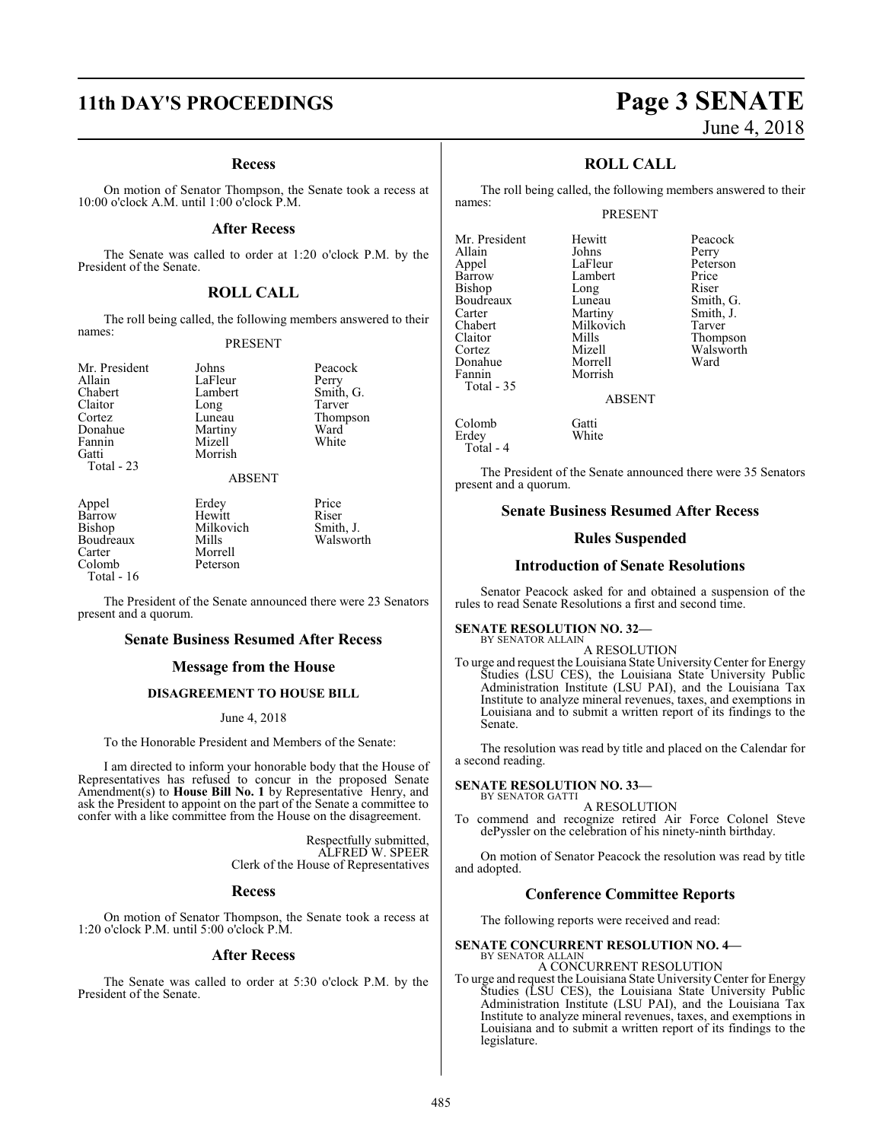# **11th DAY'S PROCEEDINGS Page 3 SENATE**

#### **Recess**

On motion of Senator Thompson, the Senate took a recess at 10:00 o'clock A.M. until 1:00 o'clock P.M.

#### **After Recess**

The Senate was called to order at 1:20 o'clock P.M. by the President of the Senate.

#### **ROLL CALL**

The roll being called, the following members answered to their names:

#### PRESENT

Total - 23

Mr. President Johns Peacock<br>Allain LaFleur Perry Allain LaFleur<br>Chabert Lambert Chabert Lambert Smith, G. Claitor Long<br>Cortez Luneau Luneau Thompson<br>Martiny Ward Donahue Martiny Ward<br>
Fannin Mizell White<br>
White Mizell<sup>'</sup> Gatti Morrish

ABSENT

Boudreaux<br>Carter Carter Morrell<br>Colomb Peterson Total - 16

Appel Erdey Price<br>
Barrow Hewitt Riser Barrow Hewitt Riser<br>Bishop Milkovich Smith, J. Milkovich Smith, J.<br>Mills Walsworth

The President of the Senate announced there were 23 Senators present and a quorum.

Peterson

#### **Senate Business Resumed After Recess**

#### **Message from the House**

### **DISAGREEMENT TO HOUSE BILL**

#### June 4, 2018

To the Honorable President and Members of the Senate:

I am directed to inform your honorable body that the House of Representatives has refused to concur in the proposed Senate Amendment(s) to **House Bill No. 1** by Representative Henry, and ask the President to appoint on the part of the Senate a committee to confer with a like committee from the House on the disagreement.

> Respectfully submitted, ALFRED W. SPEER Clerk of the House of Representatives

#### **Recess**

On motion of Senator Thompson, the Senate took a recess at 1:20 o'clock P.M. until 5:00 o'clock P.M.

#### **After Recess**

The Senate was called to order at 5:30 o'clock P.M. by the President of the Senate.

# June 4, 2018

#### **ROLL CALL**

The roll being called, the following members answered to their names:

#### PRESENT

Mr. President Hewitt Peacock<br>Allain Johns Perry Appel LaFleur Peterson<br>Barrow Lambert Price Bishop Long Riser<br>Boudreaux Luneau Smith, G. Boudreaux Luneau<br>Carter Martiny Carter Martiny Smith, J.<br>Chabert Milkovich Tarver Chabert Milkovich<br>Claitor Mills Claitor Mills Thompson Donahue<br>Fannin Total - 35

Erdey Total - 4 **Johns** Perry<br>LaFleur Peters Lambert Price<br>
Long Riser Morrish

Mizell Walsworth<br>
Morrell Ward

#### ABSENT

Colomb Gatti<br>Erdev White

The President of the Senate announced there were 35 Senators present and a quorum.

#### **Senate Business Resumed After Recess**

#### **Rules Suspended**

#### **Introduction of Senate Resolutions**

Senator Peacock asked for and obtained a suspension of the rules to read Senate Resolutions a first and second time.

#### **SENATE RESOLUTION NO. 32—** BY SENATOR ALLAIN

#### A RESOLUTION

To urge and request the Louisiana State UniversityCenter for Energy Studies (LSU CES), the Louisiana State University Public Administration Institute (LSU PAI), and the Louisiana Tax Institute to analyze mineral revenues, taxes, and exemptions in Louisiana and to submit a written report of its findings to the Senate.

The resolution was read by title and placed on the Calendar for a second reading.

#### **SENATE RESOLUTION NO. 33—** BY SENATOR GATTI

A RESOLUTION

To commend and recognize retired Air Force Colonel Steve dePyssler on the celebration of his ninety-ninth birthday.

On motion of Senator Peacock the resolution was read by title and adopted.

#### **Conference Committee Reports**

The following reports were received and read:

**SENATE CONCURRENT RESOLUTION NO. 4—** BY SENATOR ALLAIN

A CONCURRENT RESOLUTION To urge and request the Louisiana State UniversityCenter for Energy Studies (LSU CES), the Louisiana State University Public Administration Institute (LSU PAI), and the Louisiana Tax Institute to analyze mineral revenues, taxes, and exemptions in Louisiana and to submit a written report of its findings to the

legislature.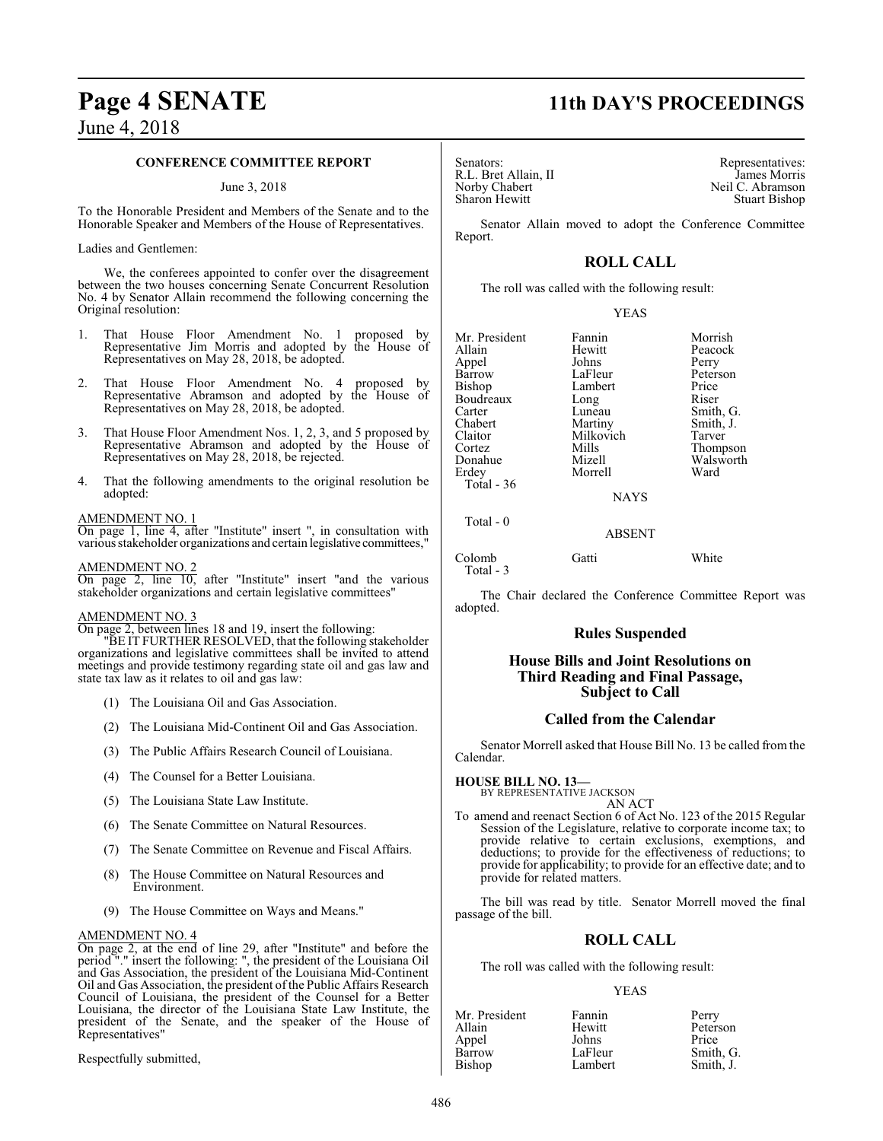# **Page 4 SENATE 11th DAY'S PROCEEDINGS**

## June 4, 2018

#### **CONFERENCE COMMITTEE REPORT**

June 3, 2018

To the Honorable President and Members of the Senate and to the Honorable Speaker and Members of the House of Representatives.

#### Ladies and Gentlemen:

We, the conferees appointed to confer over the disagreement between the two houses concerning Senate Concurrent Resolution No. 4 by Senator Allain recommend the following concerning the Original resolution:

- 1. That House Floor Amendment No. 1 proposed by Representative Jim Morris and adopted by the House of Representatives on May 28, 2018, be adopted.
- That House Floor Amendment No. 4 proposed by Representative Abramson and adopted by the House of Representatives on May 28, 2018, be adopted.
- 3. That House Floor Amendment Nos. 1, 2, 3, and 5 proposed by Representative Abramson and adopted by the House of Representatives on May 28, 2018, be rejected.
- 4. That the following amendments to the original resolution be adopted:

#### AMENDMENT NO. 1

On page 1, line 4, after "Institute" insert ", in consultation with various stakeholder organizations and certain legislative committees,"

#### AMENDMENT NO. 2

On page 2, line 10, after "Institute" insert "and the various stakeholder organizations and certain legislative committees"

#### AMENDMENT NO. 3

On page 2, between lines 18 and 19, insert the following:

"BE IT FURTHER RESOLVED, that the following stakeholder organizations and legislative committees shall be invited to attend meetings and provide testimony regarding state oil and gas law and state tax law as it relates to oil and gas law:

- (1) The Louisiana Oil and Gas Association.
- (2) The Louisiana Mid-Continent Oil and Gas Association.
- (3) The Public Affairs Research Council of Louisiana.
- (4) The Counsel for a Better Louisiana.
- (5) The Louisiana State Law Institute.
- (6) The Senate Committee on Natural Resources.
- (7) The Senate Committee on Revenue and Fiscal Affairs.
- (8) The House Committee on Natural Resources and Environment.
- (9) The House Committee on Ways and Means."

#### AMENDMENT NO. 4

On page 2, at the end of line 29, after "Institute" and before the period "." insert the following: ", the president of the Louisiana Oil and Gas Association, the president of the Louisiana Mid-Continent Oil and Gas Association, the president of the Public Affairs Research Council of Louisiana, the president of the Counsel for a Better Louisiana, the director of the Louisiana State Law Institute, the president of the Senate, and the speaker of the House of Representatives"

Respectfully submitted,

R.L. Bret Allain, II<br>Norby Chabert

Senators: Representatives: R.L. Bret Allain, II and the serve of the senators: R.L. Bret Allain, II and the serve of the serve of the serve of the serve of the serve of the serve of the serve of the serve of the serve of t Norby Chabert (Neil C. Abramson<br>
Sharon Hewitt (Neil C. Abramson<br>
Stuart Bishop Stuart Bishop

Senator Allain moved to adopt the Conference Committee Report.

### **ROLL CALL**

The roll was called with the following result:

#### YEAS

| Mr. President<br>Allain<br>Appel<br>Barrow<br>Bishop<br>Boudreaux<br>Carter<br>Chabert<br>Claitor<br>Cortez<br>Donahue<br>Erdey | Fannin<br>Hewitt<br>Johns<br>LaFleur<br>Lambert<br>Long<br>Luneau<br>Martiny<br>Milkovich<br>Mills<br>Mizell<br>Morrell | Morrish<br>Peacock<br>Perry<br>Peterson<br>Price<br>Riser<br>Smith, G.<br>Smith, J.<br>Tarver<br>Thompson<br>Walsworth<br>Ward |
|---------------------------------------------------------------------------------------------------------------------------------|-------------------------------------------------------------------------------------------------------------------------|--------------------------------------------------------------------------------------------------------------------------------|
| Total - 36                                                                                                                      |                                                                                                                         |                                                                                                                                |
|                                                                                                                                 | <b>NAYS</b>                                                                                                             |                                                                                                                                |

ABSENT

Colomb Gatti White

Total - 3

Total - 0

The Chair declared the Conference Committee Report was adopted.

#### **Rules Suspended**

#### **House Bills and Joint Resolutions on Third Reading and Final Passage, Subject to Call**

#### **Called from the Calendar**

Senator Morrell asked that House Bill No. 13 be called from the Calendar.

**HOUSE BILL NO. 13—** BY REPRESENTATIVE JACKSON

AN ACT To amend and reenact Section 6 of Act No. 123 of the 2015 Regular Session of the Legislature, relative to corporate income tax; to provide relative to certain exclusions, exemptions, and deductions; to provide for the effectiveness of reductions; to provide for applicability; to provide for an effective date; and to provide for related matters.

The bill was read by title. Senator Morrell moved the final passage of the bill.

#### **ROLL CALL**

The roll was called with the following result:

#### YEAS

| Mr. President | Fannin  | Perry     |
|---------------|---------|-----------|
| Allain        | Hewitt  | Peterson  |
| Appel         | Johns   | Price     |
| Barrow        | LaFleur | Smith, G. |
| Bishop        | Lambert | Smith, J. |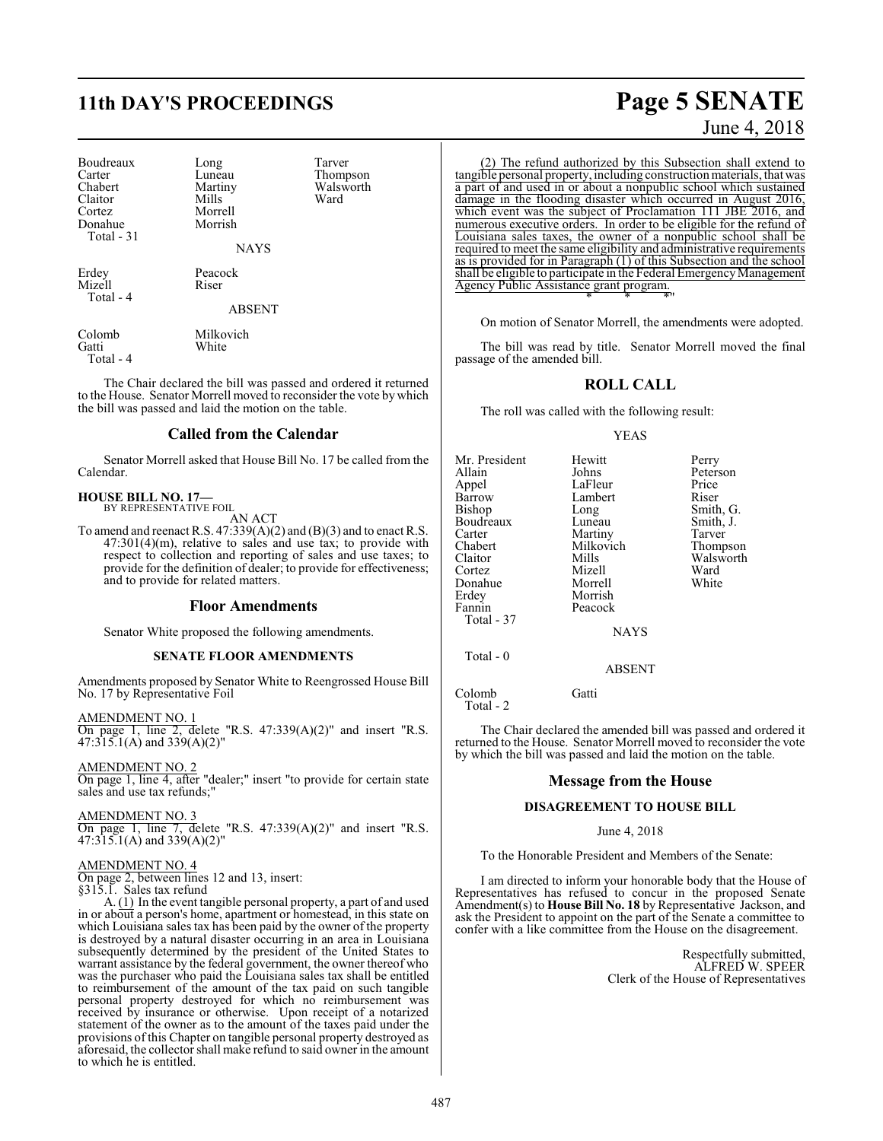# **11th DAY'S PROCEEDINGS Page 5 SENATE**

White

| Boudreaux  | Long    | Tarver |
|------------|---------|--------|
| Carter     | Luneau  | Thomp  |
| Chabert    | Martiny | Walsw  |
| Claitor    | Mills   | Ward   |
| Cortez     | Morrell |        |
| Donahue    | Morrish |        |
| Total - 31 |         |        |
|            |         |        |

Luneau Thompson<br>Martiny Walsworth Martiny Walsworth<br>
Mills Ward Morrish

**NAYS** 

Erdey Peacock<br>Mizell Riser Mizell Total - 4

ABSENT

Colomb Milkovich<br>
Gatti White Total - 4

The Chair declared the bill was passed and ordered it returned to the House. Senator Morrell moved to reconsider the vote by which the bill was passed and laid the motion on the table.

#### **Called from the Calendar**

Senator Morrell asked that House Bill No. 17 be called from the Calendar.

#### **HOUSE BILL NO. 17—** BY REPRESENTATIVE FOIL

AN ACT

To amend and reenact R.S.  $47:339(A)(2)$  and  $(B)(3)$  and to enact R.S. 47:301(4)(m), relative to sales and use tax; to provide with respect to collection and reporting of sales and use taxes; to provide for the definition of dealer; to provide for effectiveness; and to provide for related matters.

#### **Floor Amendments**

Senator White proposed the following amendments.

#### **SENATE FLOOR AMENDMENTS**

Amendments proposed by Senator White to Reengrossed House Bill No. 17 by Representative Foil

AMENDMENT NO. 1 On page 1, line 2, delete "R.S. 47:339(A)(2)" and insert "R.S. 47:315.1(A) and 339(A)(2)"

AMENDMENT NO. 2

On page 1, line 4, after "dealer;" insert "to provide for certain state sales and use tax refunds;"

AMENDMENT NO. 3

On page 1, line 7, delete "R.S. 47:339(A)(2)" and insert "R.S. 47:315.1(A) and 339(A)(2)"

#### AMENDMENT NO. 4

On page 2, between lines 12 and 13, insert:

§315.1. Sales tax refund

A. (1) In the event tangible personal property, a part of and used in or about a person's home, apartment or homestead, in this state on which Louisiana sales tax has been paid by the owner of the property is destroyed by a natural disaster occurring in an area in Louisiana subsequently determined by the president of the United States to warrant assistance by the federal government, the owner thereof who was the purchaser who paid the Louisiana sales tax shall be entitled to reimbursement of the amount of the tax paid on such tangible personal property destroyed for which no reimbursement was received by insurance or otherwise. Upon receipt of a notarized statement of the owner as to the amount of the taxes paid under the provisions of this Chapter on tangible personal property destroyed as aforesaid, the collector shall make refund to said owner in the amount to which he is entitled.

(2) The refund authorized by this Subsection shall extend to tangible personal property, including construction materials, that was a part of and used in or about a nonpublic school which sustained damage in the flooding disaster which occurred in August 2016, which event was the subject of Proclamation 111 JBE 2016, and numerous executive orders. In order to be eligible for the refund of Louisiana sales taxes, the owner of a nonpublic school shall be required to meet the same eligibility and administrative requirements as is provided for in Paragraph (1) of this Subsection and the school shall be eligible to participate in the Federal EmergencyManagement Agency Public Assistance grant program. \* \* \*"

On motion of Senator Morrell, the amendments were adopted.

The bill was read by title. Senator Morrell moved the final passage of the amended bill.

#### **ROLL CALL**

The roll was called with the following result:

#### YEAS

| Mr. President<br>Allain<br>Appel<br>Barrow<br><b>Bishop</b><br>Boudreaux<br>Carter<br>Chabert<br>Claitor<br>Cortez<br>Donahue<br>Erdey<br>Fannin | Hewitt<br>Johns<br>LaFleur<br>Lambert<br>Long<br>Luneau<br>Martiny<br>Milkovich<br>Mills<br>Mizell<br>Morrell<br>Morrish<br>Peacock | Perry<br>Peterson<br>Price<br>Riser<br>Smith, G.<br>Smith, J.<br>Tarver<br>Thompson<br>Walsworth<br>Ward<br>White |
|--------------------------------------------------------------------------------------------------------------------------------------------------|-------------------------------------------------------------------------------------------------------------------------------------|-------------------------------------------------------------------------------------------------------------------|
| Total - 37                                                                                                                                       | <b>NAYS</b>                                                                                                                         |                                                                                                                   |
| Total $-0$                                                                                                                                       | <b>ABSENT</b>                                                                                                                       |                                                                                                                   |
| $-1$ $-1$                                                                                                                                        | $-$                                                                                                                                 |                                                                                                                   |

Colomb Gatti Total - 2

The Chair declared the amended bill was passed and ordered it returned to the House. Senator Morrell moved to reconsider the vote by which the bill was passed and laid the motion on the table.

#### **Message from the House**

#### **DISAGREEMENT TO HOUSE BILL**

#### June 4, 2018

To the Honorable President and Members of the Senate:

I am directed to inform your honorable body that the House of Representatives has refused to concur in the proposed Senate Amendment(s) to **House Bill No. 18** by Representative Jackson, and ask the President to appoint on the part of the Senate a committee to confer with a like committee from the House on the disagreement.

> Respectfully submitted, ALFRED W. SPEER Clerk of the House of Representatives

# June 4, 2018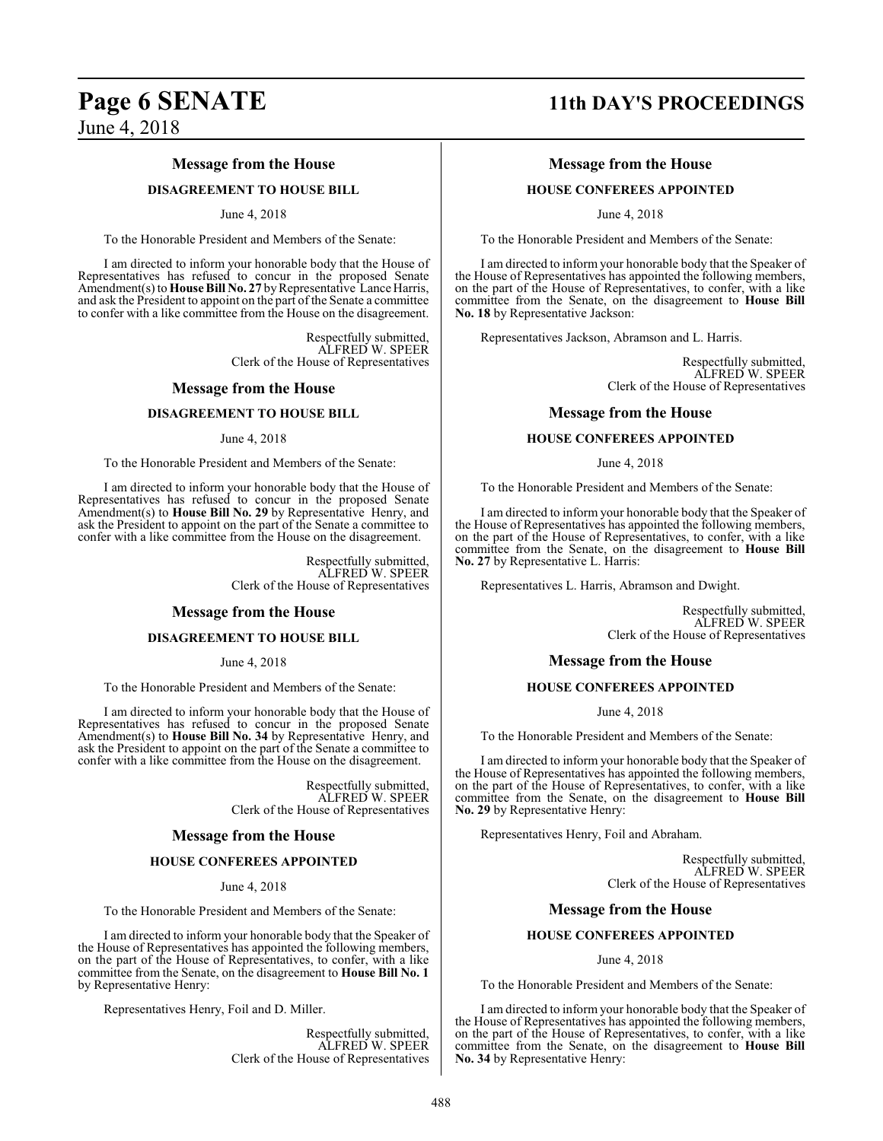#### **Message from the House**

#### **DISAGREEMENT TO HOUSE BILL**

#### June 4, 2018

To the Honorable President and Members of the Senate:

I am directed to inform your honorable body that the House of Representatives has refused to concur in the proposed Senate Amendment(s) to **House Bill No. 27** by Representative Lance Harris, and ask the President to appoint on the part of the Senate a committee to confer with a like committee from the House on the disagreement.

> Respectfully submitted, ALFRED W. SPEER Clerk of the House of Representatives

#### **Message from the House**

#### **DISAGREEMENT TO HOUSE BILL**

#### June 4, 2018

To the Honorable President and Members of the Senate:

I am directed to inform your honorable body that the House of Representatives has refused to concur in the proposed Senate Amendment(s) to **House Bill No. 29** by Representative Henry, and ask the President to appoint on the part of the Senate a committee to confer with a like committee from the House on the disagreement.

> Respectfully submitted, ALFRED W. SPEER Clerk of the House of Representatives

#### **Message from the House**

#### **DISAGREEMENT TO HOUSE BILL**

June 4, 2018

To the Honorable President and Members of the Senate:

I am directed to inform your honorable body that the House of Representatives has refused to concur in the proposed Senate Amendment(s) to **House Bill No. 34** by Representative Henry, and ask the President to appoint on the part of the Senate a committee to confer with a like committee from the House on the disagreement.

> Respectfully submitted, ALFRED W. SPEER Clerk of the House of Representatives

#### **Message from the House**

#### **HOUSE CONFEREES APPOINTED**

June 4, 2018

To the Honorable President and Members of the Senate:

I am directed to inform your honorable body that the Speaker of the House of Representatives has appointed the following members, on the part of the House of Representatives, to confer, with a like committee from the Senate, on the disagreement to **House Bill No. 1** by Representative Henry:

Representatives Henry, Foil and D. Miller.

Respectfully submitted, ALFRED W. SPEER Clerk of the House of Representatives

# **Page 6 SENATE 11th DAY'S PROCEEDINGS**

#### **Message from the House**

#### **HOUSE CONFEREES APPOINTED**

June 4, 2018

To the Honorable President and Members of the Senate:

I am directed to inform your honorable body that the Speaker of the House of Representatives has appointed the following members, on the part of the House of Representatives, to confer, with a like committee from the Senate, on the disagreement to **House Bill No. 18** by Representative Jackson:

Representatives Jackson, Abramson and L. Harris.

Respectfully submitted, ALFRED W. SPEER Clerk of the House of Representatives

#### **Message from the House**

#### **HOUSE CONFEREES APPOINTED**

June 4, 2018

To the Honorable President and Members of the Senate:

I am directed to inform your honorable body that the Speaker of the House of Representatives has appointed the following members, on the part of the House of Representatives, to confer, with a like committee from the Senate, on the disagreement to **House Bill No. 27** by Representative L. Harris:

Representatives L. Harris, Abramson and Dwight.

Respectfully submitted, ALFRED W. SPEER Clerk of the House of Representatives

#### **Message from the House**

#### **HOUSE CONFEREES APPOINTED**

June 4, 2018

To the Honorable President and Members of the Senate:

I am directed to inform your honorable body that the Speaker of the House of Representatives has appointed the following members, on the part of the House of Representatives, to confer, with a like committee from the Senate, on the disagreement to **House Bill No. 29** by Representative Henry:

Representatives Henry, Foil and Abraham.

Respectfully submitted, ALFRED W. SPEER Clerk of the House of Representatives

#### **Message from the House**

#### **HOUSE CONFEREES APPOINTED**

June 4, 2018

To the Honorable President and Members of the Senate:

I am directed to inform your honorable body that the Speaker of the House of Representatives has appointed the following members, on the part of the House of Representatives, to confer, with a like committee from the Senate, on the disagreement to **House Bill No. 34** by Representative Henry: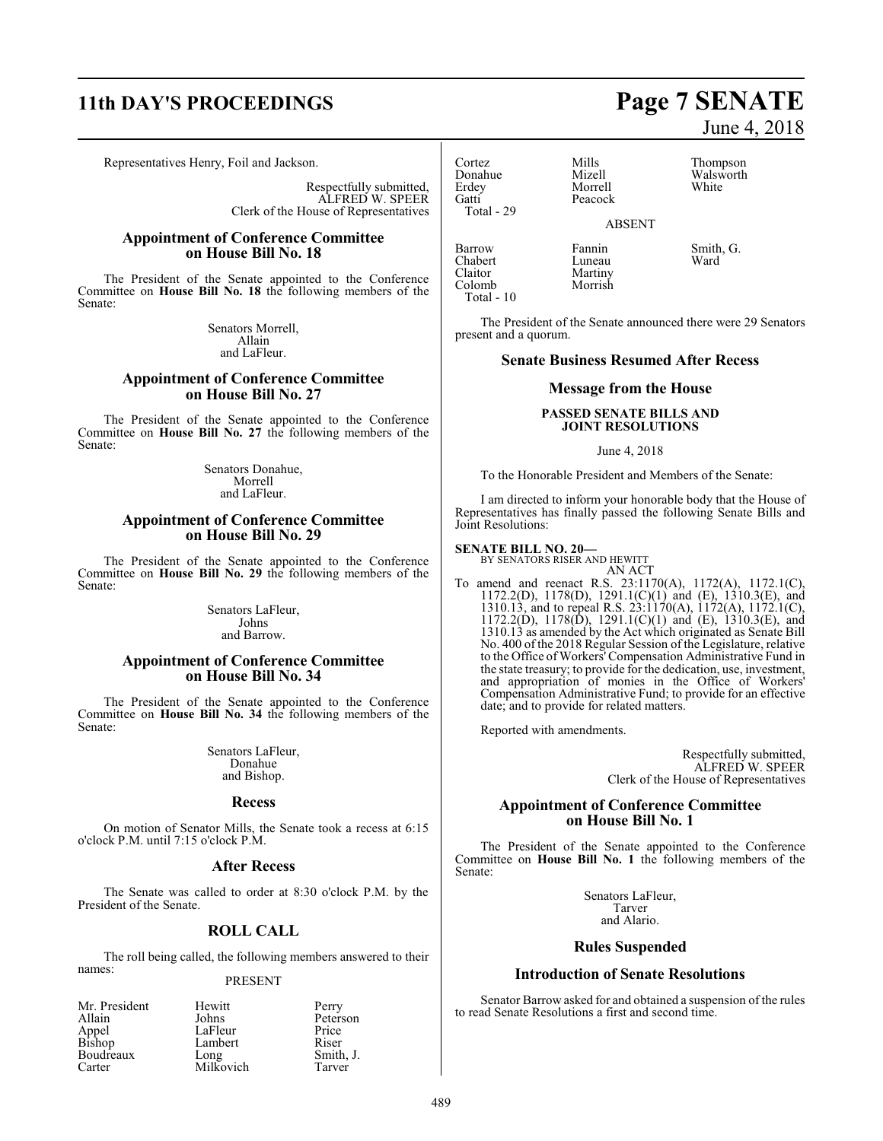# **11th DAY'S PROCEEDINGS Page 7 SENATE**

Representatives Henry, Foil and Jackson.

Respectfully submitted, ALFRED W. SPEER Clerk of the House of Representatives

#### **Appointment of Conference Committee on House Bill No. 18**

The President of the Senate appointed to the Conference Committee on **House Bill No. 18** the following members of the Senate:

> Senators Morrell, Allain and LaFleur.

### **Appointment of Conference Committee on House Bill No. 27**

The President of the Senate appointed to the Conference Committee on **House Bill No. 27** the following members of the Senate:

> Senators Donahue, Morrell and LaFleur.

#### **Appointment of Conference Committee on House Bill No. 29**

The President of the Senate appointed to the Conference Committee on **House Bill No. 29** the following members of the Senate:

> Senators LaFleur, Johns and Barrow.

#### **Appointment of Conference Committee on House Bill No. 34**

The President of the Senate appointed to the Conference Committee on **House Bill No. 34** the following members of the Senate:

> Senators LaFleur, Donahue and Bishop.

#### **Recess**

On motion of Senator Mills, the Senate took a recess at 6:15 o'clock P.M. until 7:15 o'clock P.M.

#### **After Recess**

The Senate was called to order at 8:30 o'clock P.M. by the President of the Senate.

#### **ROLL CALL**

The roll being called, the following members answered to their names:

#### PRESENT

| Mr. President   | Hewitt    | Perry     |
|-----------------|-----------|-----------|
| Allain          | Johns     | Peterson  |
| Appel<br>Bishop | LaFleur   | Price     |
|                 | Lambert   | Riser     |
| Boudreaux       | Long      | Smith, J. |
| Carter          | Milkovich | Tarver    |

Cortez Mills Thompson Donahue Mizell Walsworth<br>Erdev Morrell White Erdey Morrell<br>Gatti Peacock Total - 29

Peacock

ABSENT

Barrow Fannin Smith, G.<br>Chabert Luneau Ward Chabert<br>Claitor Claitor Martiny<br>Colomb Morrish Total - 10

The President of the Senate announced there were 29 Senators present and a quorum.

Morrish

#### **Senate Business Resumed After Recess**

#### **Message from the House**

#### **PASSED SENATE BILLS AND JOINT RESOLUTIONS**

#### June 4, 2018

To the Honorable President and Members of the Senate:

I am directed to inform your honorable body that the House of Representatives has finally passed the following Senate Bills and Joint Resolutions:

#### **SENATE BILL NO. 20—**

BY SENATORS RISER AND HEWITT AN ACT

To amend and reenact R.S. 23:1170(A), 1172(A), 1172.1(C), 1172.2(D), 1178(D), 1291.1(C)(1) and (E), 1310.3(E), and 1310.13, and to repeal R.S. 23:1170(A), 1172(A), 1172.1(C), 1172.2(D), 1178(D), 1291.1(C)(1) and (E), 1310.3(E), and 1310.13 as amended by the Act which originated as Senate Bill No. 400 of the 2018 Regular Session of the Legislature, relative to the Office of Workers' Compensation Administrative Fund in the state treasury; to provide for the dedication, use, investment, and appropriation of monies in the Office of Workers' Compensation Administrative Fund; to provide for an effective date; and to provide for related matters.

Reported with amendments.

Respectfully submitted, ALFRED W. SPEER Clerk of the House of Representatives

#### **Appointment of Conference Committee on House Bill No. 1**

The President of the Senate appointed to the Conference Committee on **House Bill No. 1** the following members of the Senate:

> Senators LaFleur, Tarver and Alario.

#### **Rules Suspended**

#### **Introduction of Senate Resolutions**

Senator Barrow asked for and obtained a suspension of the rules to read Senate Resolutions a first and second time.

# June 4, 2018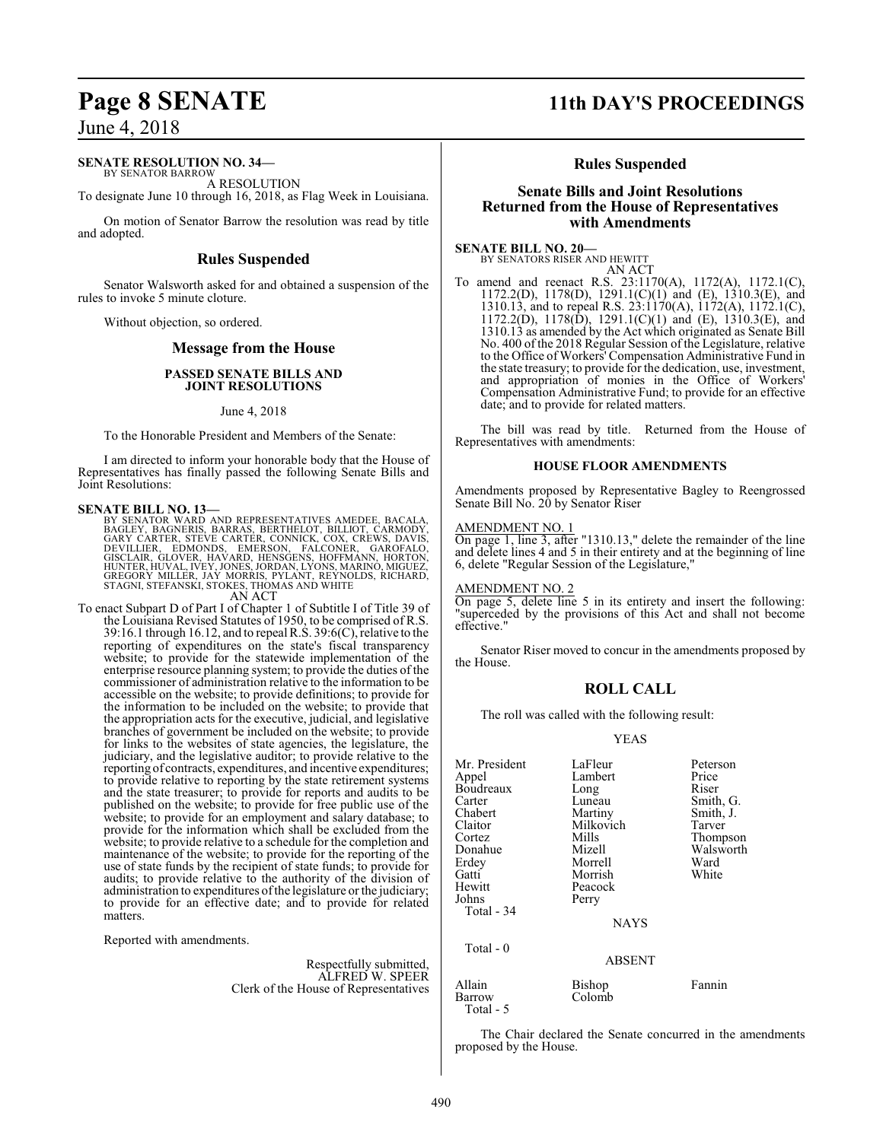#### **SENATE RESOLUTION NO. 34—**

BY SENATOR BARROW A RESOLUTION

To designate June 10 through 16, 2018, as Flag Week in Louisiana.

On motion of Senator Barrow the resolution was read by title and adopted.

#### **Rules Suspended**

Senator Walsworth asked for and obtained a suspension of the rules to invoke 5 minute cloture.

Without objection, so ordered.

#### **Message from the House**

#### **PASSED SENATE BILLS AND JOINT RESOLUTIONS**

#### June 4, 2018

To the Honorable President and Members of the Senate:

I am directed to inform your honorable body that the House of Representatives has finally passed the following Senate Bills and Joint Resolutions:

#### **SENATE BILL NO. 13—**

BY SENATOR WARD AND REPRESENTATIVES AMEDEE, BACALA,<br>BAGLEY, BAGNERIS, BARRAS, BERTHELOT, BILLIOT, CARMODY,<br>GARY CARTER, STEVE CARTER, CONNICK, COX, CREWS, DAVIS,<br>DEVILLIER, EDMONDS, EMERSON, FALCONER, GAROFALO,<br>GISCLAIR, G STAGNI, STEFANSKI, STOKES, THOMAS AND WHITE AN ACT

To enact Subpart D of Part I of Chapter 1 of Subtitle I of Title 39 of the Louisiana Revised Statutes of 1950, to be comprised of R.S. 39:16.1 through 16.12, and to repeal R.S. 39:6(C), relative to the reporting of expenditures on the state's fiscal transparency website; to provide for the statewide implementation of the enterprise resource planning system; to provide the duties of the commissioner of administration relative to the information to be accessible on the website; to provide definitions; to provide for the information to be included on the website; to provide that the appropriation acts for the executive, judicial, and legislative branches of government be included on the website; to provide for links to the websites of state agencies, the legislature, the judiciary, and the legislative auditor; to provide relative to the reporting of contracts, expenditures, and incentive expenditures; to provide relative to reporting by the state retirement systems and the state treasurer; to provide for reports and audits to be published on the website; to provide for free public use of the website; to provide for an employment and salary database; to provide for the information which shall be excluded from the website; to provide relative to a schedule for the completion and maintenance of the website; to provide for the reporting of the use of state funds by the recipient of state funds; to provide for audits; to provide relative to the authority of the division of administration to expenditures ofthe legislature or the judiciary; to provide for an effective date; and to provide for related matters.

Reported with amendments.

Respectfully submitted, ALFRED W. SPEER Clerk of the House of Representatives

# **Page 8 SENATE 11th DAY'S PROCEEDINGS**

#### **Rules Suspended**

#### **Senate Bills and Joint Resolutions Returned from the House of Representatives with Amendments**

**SENATE BILL NO. 20—** BY SENATORS RISER AND HEWITT

AN ACT

To amend and reenact R.S. 23:1170(A), 1172(A), 1172.1(C), 1172.2(D), 1178(D), 1291.1(C)(1) and (E), 1310.3(E), and 1310.13, and to repeal R.S. 23:1170(A), 1172(A), 1172.1(C), 1172.2(D), 1178(D), 1291.1(C)(1) and (E), 1310.3(E), and 1310.13 as amended by the Act which originated as Senate Bill No. 400 of the 2018 Regular Session of the Legislature, relative to the Office of Workers' Compensation Administrative Fund in the state treasury; to provide for the dedication, use, investment, and appropriation of monies in the Office of Workers' Compensation Administrative Fund; to provide for an effective date; and to provide for related matters.

The bill was read by title. Returned from the House of Representatives with amendments:

#### **HOUSE FLOOR AMENDMENTS**

Amendments proposed by Representative Bagley to Reengrossed Senate Bill No. 20 by Senator Riser

#### AMENDMENT NO. 1

On page 1, line 3, after "1310.13," delete the remainder of the line and delete lines 4 and 5 in their entirety and at the beginning of line 6, delete "Regular Session of the Legislature,"

#### AMENDMENT NO. 2

On page 5, delete line 5 in its entirety and insert the following: "superceded by the provisions of this Act and shall not become effective.'

Senator Riser moved to concur in the amendments proposed by the House.

#### **ROLL CALL**

The roll was called with the following result:

YEAS

| Mr. President<br>Appel<br>Boudreaux<br>Carter<br>Chabert<br>Claitor<br>Cortez<br>Donahue<br>Erdey<br>Gatti<br>Hewitt | LaFleur<br>Lambert<br>Long<br>Luneau<br>Martiny<br>Milkovich<br>Mills<br>Mizell<br>Morrell<br>Morrish<br>Peacock | Peterson<br>Price<br>Riser<br>Smith, G.<br>Smith, J.<br>Tarver<br>Thompson<br>Walsworth<br>Ward<br>White |
|----------------------------------------------------------------------------------------------------------------------|------------------------------------------------------------------------------------------------------------------|----------------------------------------------------------------------------------------------------------|
| Johns<br>Total - 34                                                                                                  | Perry<br><b>NAYS</b>                                                                                             |                                                                                                          |
| Total $-0$                                                                                                           | <b>ABSENT</b>                                                                                                    |                                                                                                          |
| Allain<br>Barrow                                                                                                     | Bishop<br>Colomb                                                                                                 | Fannin                                                                                                   |

Total - 5

The Chair declared the Senate concurred in the amendments proposed by the House.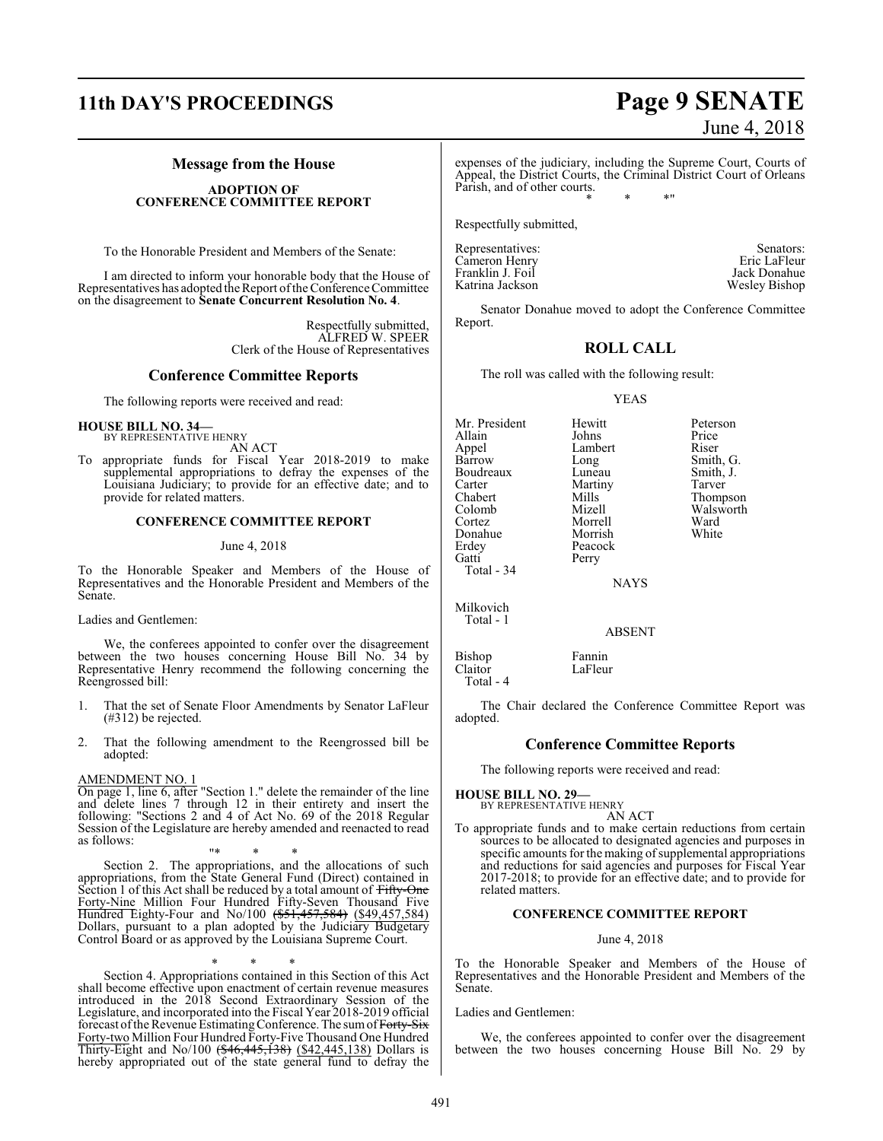# **11th DAY'S PROCEEDINGS Page 9 SENATE**

### **Message from the House**

#### **ADOPTION OF CONFERENCE COMMITTEE REPORT**

To the Honorable President and Members of the Senate:

I am directed to inform your honorable body that the House of Representatives has adopted the Report ofthe Conference Committee on the disagreement to **Senate Concurrent Resolution No. 4**.

> Respectfully submitted, ALFRED W. SPEER Clerk of the House of Representatives

#### **Conference Committee Reports**

The following reports were received and read:

#### **HOUSE BILL NO. 34—** BY REPRESENTATIVE HENRY

AN ACT

To appropriate funds for Fiscal Year 2018-2019 to make supplemental appropriations to defray the expenses of the Louisiana Judiciary; to provide for an effective date; and to provide for related matters.

#### **CONFERENCE COMMITTEE REPORT**

#### June 4, 2018

To the Honorable Speaker and Members of the House of Representatives and the Honorable President and Members of the Senate.

Ladies and Gentlemen:

We, the conferees appointed to confer over the disagreement between the two houses concerning House Bill No. 34 by Representative Henry recommend the following concerning the Reengrossed bill:

- 1. That the set of Senate Floor Amendments by Senator LaFleur (#312) be rejected.
- 2. That the following amendment to the Reengrossed bill be adopted:

#### AMENDMENT NO. 1

On page 1, line 6, after "Section 1." delete the remainder of the line and delete lines 7 through 12 in their entirety and insert the following: "Sections 2 and 4 of Act No. 69 of the 2018 Regular Session of the Legislature are hereby amended and reenacted to read as follows:

"\* \* \* Section 2. The appropriations, and the allocations of such appropriations, from the State General Fund (Direct) contained in Section 1 of this Act shall be reduced by a total amount of Fifty-One Forty-Nine Million Four Hundred Fifty-Seven Thousand Five Hundred Eighty-Four and No/100 (\$51,457,584) (\$49,457,584) Dollars, pursuant to a plan adopted by the Judiciary Budgetary Control Board or as approved by the Louisiana Supreme Court.

\* \* \* Section 4. Appropriations contained in this Section of this Act shall become effective upon enactment of certain revenue measures introduced in the 2018 Second Extraordinary Session of the Legislature, and incorporated into the Fiscal Year 2018-2019 official forecast of the Revenue Estimating Conference. The sum of Forty-Six Forty-two Million Four Hundred Forty-Five Thousand One Hundred Thirty-Eight and No/100 (\$46,445,138) (\$42,445,138) Dollars is hereby appropriated out of the state general fund to defray the expenses of the judiciary, including the Supreme Court, Courts of Appeal, the District Courts, the Criminal District Court of Orleans Parish, and of other courts. \* \* \*"

Respectfully submitted,

Representatives: Senators: Senators: Senators: Senators: Senators: Senators: Senators: Senators: Senators: Senators: Senators: Senators: Senators: Senators: Senators: Senators: Senators: Senators: Senators: Senators: Senat Cameron Henry Eric LaFleur<br>
Franklin J. Foil and The Mack Donahue Franklin J. Foil<br>Katrina Jackson Wesley Bishop

Senator Donahue moved to adopt the Conference Committee Report.

## **ROLL CALL**

The roll was called with the following result:

YEAS

Mr. President Hewitt Peterson<br>Allain Johns Price Allain Johns Price Appel Lambert Riser<br>Barrow Long Smith Boudreaux Luneau Smith,<br>
Carter Martiny Tarver Carter Martiny<br>Chabert Mills Chabert Mills Thompson<br>Colomb Mizell Walsworth Colomb Mizell Walsworth Donahue<br>Erdey Erdey Peacock<br>Gatti Perry Total - 34

Long Smith, G.<br>
Luneau Smith, J. Morrell Ward<br>
Morrish White

**NAYS** 

Perry

Milkovich Total - 1

ABSENT

Bishop Fannin LaFleur Total - 4

The Chair declared the Conference Committee Report was adopted.

#### **Conference Committee Reports**

The following reports were received and read:

**HOUSE BILL NO. 29—** BY REPRESENTATIVE HENRY

#### AN ACT

To appropriate funds and to make certain reductions from certain sources to be allocated to designated agencies and purposes in specific amounts for the making of supplemental appropriations and reductions for said agencies and purposes for Fiscal Year 2017-2018; to provide for an effective date; and to provide for related matters.

#### **CONFERENCE COMMITTEE REPORT**

#### June 4, 2018

To the Honorable Speaker and Members of the House of Representatives and the Honorable President and Members of the Senate.

Ladies and Gentlemen:

We, the conferees appointed to confer over the disagreement between the two houses concerning House Bill No. 29 by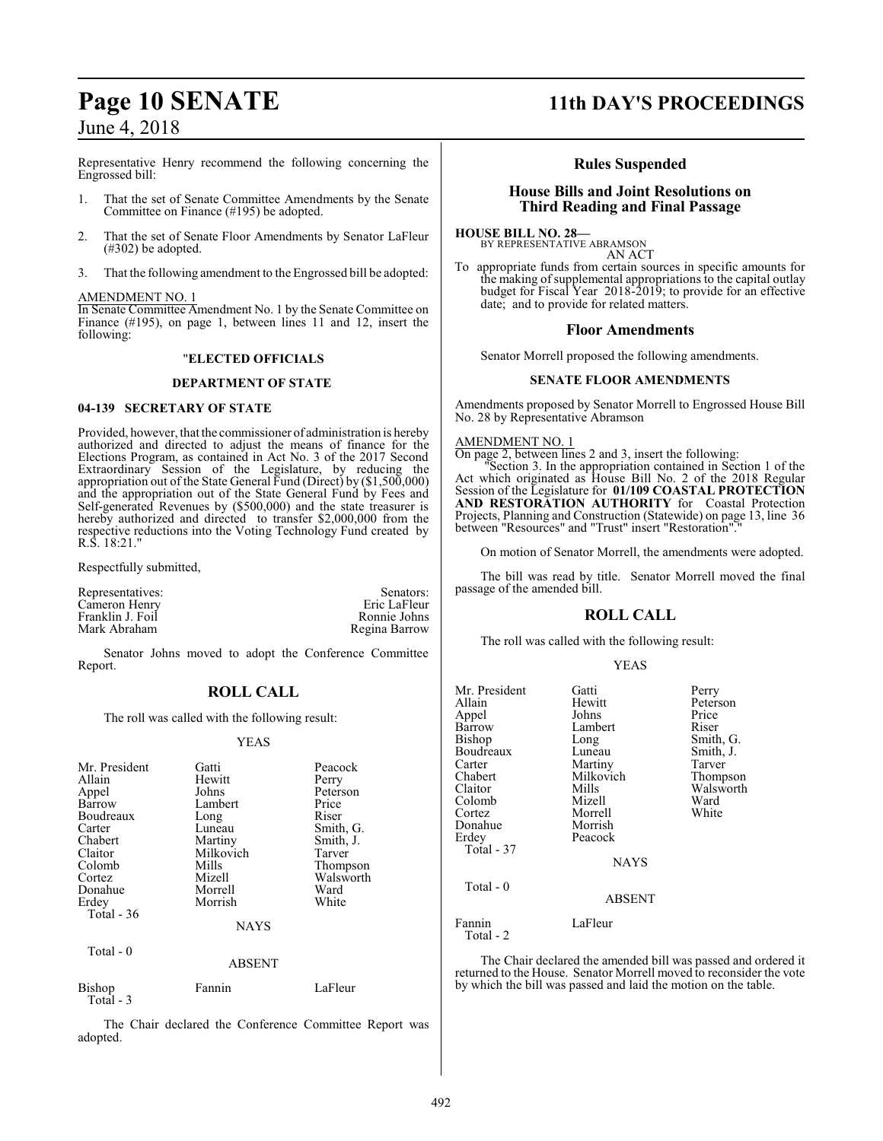Representative Henry recommend the following concerning the Engrossed bill:

- 1. That the set of Senate Committee Amendments by the Senate Committee on Finance (#195) be adopted.
- 2. That the set of Senate Floor Amendments by Senator LaFleur  $(\text{\#302})$  be adopted.
- 3. That the following amendment to the Engrossed bill be adopted:

#### AMENDMENT NO. 1

In Senate Committee Amendment No. 1 by the Senate Committee on Finance (#195), on page 1, between lines 11 and 12, insert the following:

#### "**ELECTED OFFICIALS**

#### **DEPARTMENT OF STATE**

#### **04-139 SECRETARY OF STATE**

Provided, however, that the commissioner of administration is hereby authorized and directed to adjust the means of finance for the Elections Program, as contained in Act No. 3 of the 2017 Second Extraordinary Session of the Legislature, by reducing the appropriation out of the State General Fund (Direct) by (\$1,500,000) and the appropriation out of the State General Fund by Fees and Self-generated Revenues by (\$500,000) and the state treasurer is hereby authorized and directed to transfer \$2,000,000 from the respective reductions into the Voting Technology Fund created by R.S. 18:21."

Respectfully submitted,

Total - 3

| Representatives: | Senators:     |
|------------------|---------------|
| Cameron Henrv    | Eric LaFleur  |
| Franklin J. Foil | Ronnie Johns  |
| Mark Abraham     | Regina Barrow |
|                  |               |

Senator Johns moved to adopt the Conference Committee Report.

#### **ROLL CALL**

The roll was called with the following result:

#### YEAS

| Mr. President<br>Allain<br>Appel<br>Barrow<br>Boudreaux<br>Carter<br>Chabert<br>Claitor<br>Colomb<br>Cortez<br>Donahue<br>Erdey<br>Total - 36 | Gatti<br>Hewitt<br>Johns<br>Lambert<br>Long<br>Luneau<br>Martiny<br>Milkovich<br>Mills<br>Mizell<br>Morrell<br>Morrish | Peacock<br>Perry<br>Peterson<br>Price<br>Riser<br>Smith, G.<br>Smith, J.<br>Tarver<br>Thompson<br>Walsworth<br>Ward<br>White |
|-----------------------------------------------------------------------------------------------------------------------------------------------|------------------------------------------------------------------------------------------------------------------------|------------------------------------------------------------------------------------------------------------------------------|
|                                                                                                                                               | <b>NAYS</b>                                                                                                            |                                                                                                                              |
| Total - 0                                                                                                                                     | <b>ABSENT</b>                                                                                                          |                                                                                                                              |
| Bishop                                                                                                                                        | Fannin                                                                                                                 | LaFleur                                                                                                                      |

The Chair declared the Conference Committee Report was adopted.

# **Page 10 SENATE 11th DAY'S PROCEEDINGS**

#### **Rules Suspended**

#### **House Bills and Joint Resolutions on Third Reading and Final Passage**

**HOUSE BILL NO. 28—** BY REPRESENTATIVE ABRAMSON

AN ACT To appropriate funds from certain sources in specific amounts for the making of supplemental appropriations to the capital outlay budget for Fiscal Year 2018-2019; to provide for an effective date; and to provide for related matters.

#### **Floor Amendments**

Senator Morrell proposed the following amendments.

#### **SENATE FLOOR AMENDMENTS**

Amendments proposed by Senator Morrell to Engrossed House Bill No. 28 by Representative Abramson

#### AMENDMENT NO. 1

On page 2, between lines 2 and 3, insert the following:

"Section 3. In the appropriation contained in Section 1 of the Act which originated as House Bill No. 2 of the 2018 Regular Session of the Legislature for **01/109 COASTAL PROTECTION AND RESTORATION AUTHORITY** for Coastal Protection Projects, Planning and Construction (Statewide) on page 13, line 36 between "Resources" and "Trust" insert "Restoration"

On motion of Senator Morrell, the amendments were adopted.

The bill was read by title. Senator Morrell moved the final passage of the amended bill.

## **ROLL CALL**

The roll was called with the following result:

#### YEAS

Smith, J. Tarver Thompson Walsworth<br>Ward

| Mr. President<br>Allain<br>Appel<br>Barrow<br>Bishop<br>Boudreaux<br>Carter<br>Chabert<br>Claitor<br>Colomb<br>Cortez<br>Donahue<br>Erdey<br>Total - 37 | Gatti<br>Hewitt<br>Johns<br>Lambert<br>Long<br>Luneau<br>Martiny<br>Milkovich<br>Mills<br>Mizell<br>Morrell<br>Morrish<br>Peacock<br><b>NAYS</b> | Perry<br>Peterson<br>Price<br>Riser<br>Smith, G.<br>Smith, J.<br>Tarver<br>Thompson<br>Walswort<br>Ward<br>White |
|---------------------------------------------------------------------------------------------------------------------------------------------------------|--------------------------------------------------------------------------------------------------------------------------------------------------|------------------------------------------------------------------------------------------------------------------|
| Total - 0                                                                                                                                               | ABSENT                                                                                                                                           |                                                                                                                  |
| Fannin<br>Total - 2                                                                                                                                     | LaFleur                                                                                                                                          |                                                                                                                  |

The Chair declared the amended bill was passed and ordered it returned to the House. Senator Morrell moved to reconsider the vote by which the bill was passed and laid the motion on the table.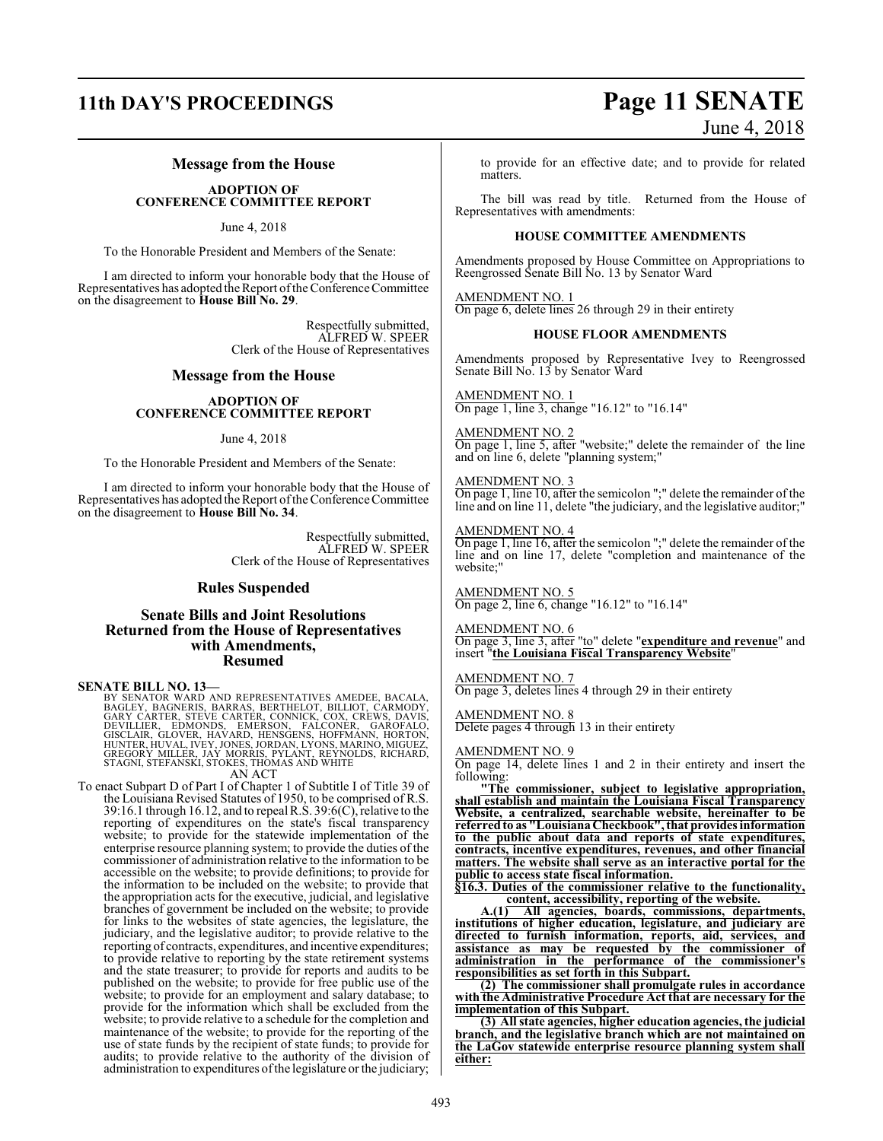# **11th DAY'S PROCEEDINGS Page 11 SENATE** June 4, 2018

### **Message from the House**

#### **ADOPTION OF CONFERENCE COMMITTEE REPORT**

June 4, 2018

To the Honorable President and Members of the Senate:

I am directed to inform your honorable body that the House of Representatives has adopted the Report ofthe Conference Committee on the disagreement to **House Bill No. 29**.

> Respectfully submitted, ALFRED W. SPEER Clerk of the House of Representatives

#### **Message from the House**

#### **ADOPTION OF CONFERENCE COMMITTEE REPORT**

June 4, 2018

To the Honorable President and Members of the Senate:

I am directed to inform your honorable body that the House of Representatives has adopted the Report ofthe Conference Committee on the disagreement to **House Bill No. 34**.

> Respectfully submitted, ALFRED W. SPEER Clerk of the House of Representatives

#### **Rules Suspended**

#### **Senate Bills and Joint Resolutions Returned from the House of Representatives with Amendments, Resumed**

**SENATE BILL NO. 13—**

BY SENATOR WARD AND REPRESENTATIVES AMEDEE, BACALA,<br>BAGLEY, BAGNERIS, BARRAS, BERTHELOT, BILLIOT, CARMODY,<br>GARY CARTER, STEVE CARTER, CONNICK, COX, CREWS, DAVIS,<br>DEVILLIER, EDMONDS, EMERSON, FALCONER, GAROFALO,<br>GISCLAIR, G

To enact Subpart D of Part I of Chapter 1 of Subtitle I of Title 39 of the Louisiana Revised Statutes of 1950, to be comprised of R.S. 39:16.1 through 16.12, and to repeal R.S. 39:6(C), relative to the reporting of expenditures on the state's fiscal transparency website; to provide for the statewide implementation of the enterprise resource planning system; to provide the duties of the commissioner of administration relative to the information to be accessible on the website; to provide definitions; to provide for the information to be included on the website; to provide that the appropriation acts for the executive, judicial, and legislative branches of government be included on the website; to provide for links to the websites of state agencies, the legislature, the judiciary, and the legislative auditor; to provide relative to the reporting of contracts, expenditures, and incentive expenditures; to provide relative to reporting by the state retirement systems and the state treasurer; to provide for reports and audits to be published on the website; to provide for free public use of the website; to provide for an employment and salary database; to provide for the information which shall be excluded from the website; to provide relative to a schedule for the completion and maintenance of the website; to provide for the reporting of the use of state funds by the recipient of state funds; to provide for audits; to provide relative to the authority of the division of administration to expenditures ofthe legislature or the judiciary; to provide for an effective date; and to provide for related matters.

The bill was read by title. Returned from the House of Representatives with amendments:

#### **HOUSE COMMITTEE AMENDMENTS**

Amendments proposed by House Committee on Appropriations to Reengrossed Senate Bill No. 13 by Senator Ward

AMENDMENT NO. 1 On page 6, delete lines 26 through 29 in their entirety

#### **HOUSE FLOOR AMENDMENTS**

Amendments proposed by Representative Ivey to Reengrossed Senate Bill No. 13 by Senator Ward

AMENDMENT NO. 1 On page 1, line 3, change "16.12" to "16.14"

#### AMENDMENT NO. 2

On page 1, line 5, after "website;" delete the remainder of the line and on line 6, delete "planning system;"

#### AMENDMENT NO. 3

On page 1, line 10, after the semicolon ";" delete the remainder of the line and on line 11, delete "the judiciary, and the legislative auditor;"

#### AMENDMENT NO. 4

On page 1, line 16, after the semicolon ";" delete the remainder of the line and on line 17, delete "completion and maintenance of the website;"

AMENDMENT NO. 5 On page 2, line 6, change "16.12" to "16.14"

#### AMENDMENT NO. 6

On page 3, line 3, after "to" delete "**expenditure and revenue**" and insert "**the Louisiana Fiscal Transparency Website**"

#### AMENDMENT NO. 7

On page 3, deletes lines 4 through 29 in their entirety

#### AMENDMENT NO. 8

Delete pages 4 through 13 in their entirety

#### AMENDMENT NO. 9

On page 14, delete lines 1 and 2 in their entirety and insert the following:

**"The commissioner, subject to legislative appropriation, shall establish and maintain the Louisiana Fiscal Transparency Website, a centralized, searchable website, hereinafter to be referredto as "LouisianaCheckbook", that provides information to the public about data and reports of state expenditures, contracts, incentive expenditures, revenues, and other financial matters. The website shall serve as an interactive portal for the public to access state fiscal information.**

**§16.3. Duties of the commissioner relative to the functionality, content, accessibility, reporting of the website.**

**A.(1) All agencies, boards, commissions, departments, institutions of higher education, legislature, and judiciary are directed to furnish information, reports, aid, services, and assistance as may be requested by the commissioner of administration in the performance of the commissioner's responsibilities as set forth in this Subpart.**

**(2) The commissioner shall promulgate rules in accordance with the Administrative Procedure Act that are necessary for the implementation of this Subpart.**

**(3) All state agencies, higher education agencies, the judicial branch, and the legislative branch which are not maintained on the LaGov statewide enterprise resource planning system shall either:**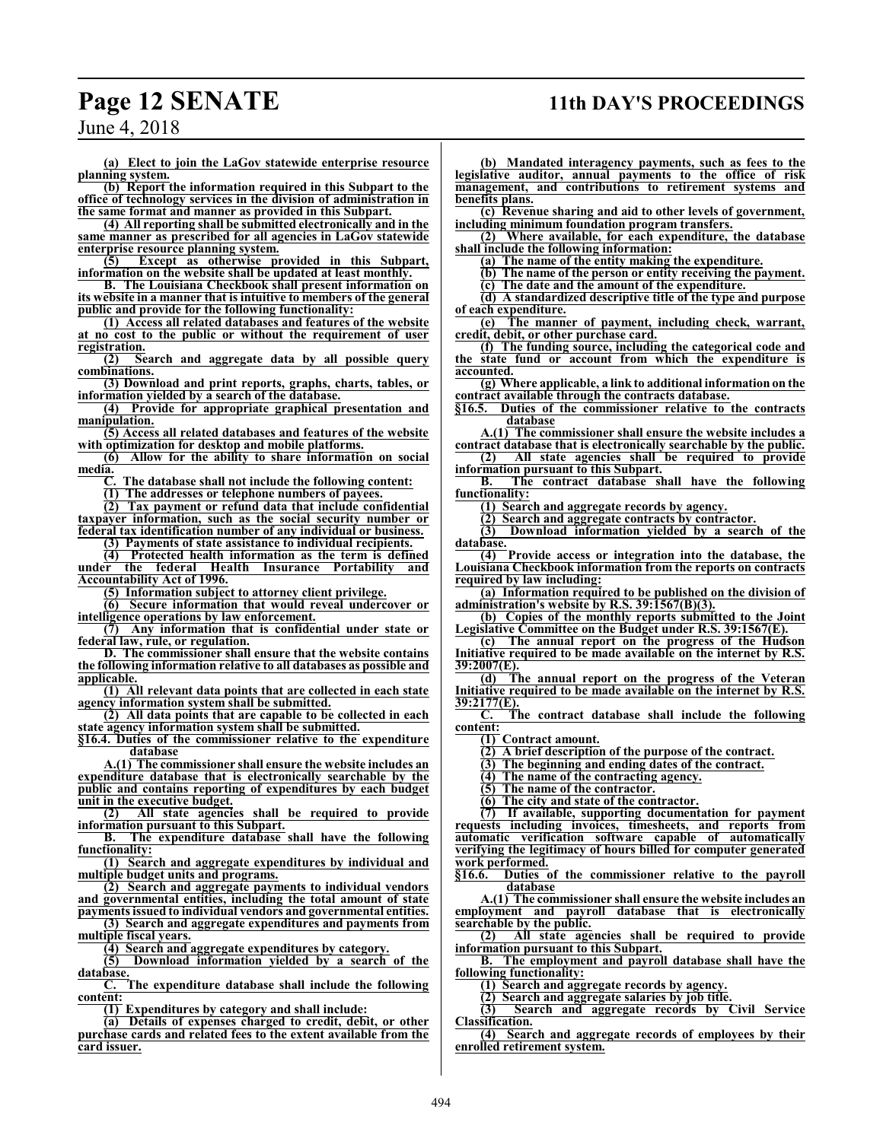# **Page 12 SENATE 11th DAY'S PROCEEDINGS**

June 4, 2018

**(a) Elect to join the LaGov statewide enterprise resource planning system.**

**(b) Report the information required in this Subpart to the office of technology services in the division of administration in the same format and manner as provided in this Subpart.**

**(4) All reporting shall be submitted electronically and in the same manner as prescribed for all agencies in LaGov statewide enterprise resource planning system.**

**(5) Except as otherwise provided in this Subpart, information on the website shall be updated at least monthly.**

**B. The Louisiana Checkbook shall present information on its website in a manner that is intuitive to members of the general public and provide for the following functionality:**

**(1) Access all related databases and features of the website at no cost to the public or without the requirement of user registration.**

**(2) Search and aggregate data by all possible query combinations.**

**(3) Download and print reports, graphs, charts, tables, or information yielded by a search of the database.**

**(4) Provide for appropriate graphical presentation and manipulation.**

**(5) Access all related databases and features of the website with optimization for desktop and mobile platforms.**

**(6) Allow for the ability to share information on social media.**

**C. The database shall not include the following content:**

**(1) The addresses or telephone numbers of payees.**

**(2) Tax payment or refund data that include confidential taxpayer information, such as the social security number or federal tax identification number of any individual or business.**

**(3) Payments of state assistance to individual recipients.**

**(4) Protected health information as the term is defined under the federal Health Insurance Portability and Accountability Act of 1996.**

**(5) Information subject to attorney client privilege.**

**(6) Secure information that would reveal undercover or intelligence operations by law enforcement.**

**(7) Any information that is confidential under state or federal law, rule, or regulation.**

**D. The commissioner shall ensure that the website contains the following information relative to all databases as possible and applicable.**

**(1) All relevant data points that are collected in each state agency information system shall be submitted.**

**(2) All data points that are capable to be collected in each state agency information system shall be submitted.**

**§16.4. Duties of the commissioner relative to the expenditure database**

**A.(1) The commissioner shall ensure the website includes an expenditure database that is electronically searchable by the public and contains reporting of expenditures by each budget**

**unit in the executive budget.**<br>(2) All state agenci **(2) All state agencies shall be required to provide information pursuant to this Subpart.**

**B. The expenditure database shall have the following functionality:**

**(1) Search and aggregate expenditures by individual and multiple budget units and programs.**

**(2) Search and aggregate payments to individual vendors and governmental entities, including the total amount of state**

**payments issued to individual vendors and governmental entities. (3) Search and aggregate expenditures and payments from**

**multiple fiscal years.**

**(4) Search and aggregate expenditures by category. (5) Download information yielded by a search of the**

**database. C. The expenditure database shall include the following**

**content:**

**(1) Expenditures by category and shall include:**

**(a) Details of expenses charged to credit, debit, or other purchase cards and related fees to the extent available from the card issuer.**

**(b) Mandated interagency payments, such as fees to the legislative auditor, annual payments to the office of risk management, and contributions to retirement systems and benefits plans.**

**(c) Revenue sharing and aid to other levels of government, including minimum foundation program transfers.**

**(2) Where available, for each expenditure, the database shall include the following information:**

**(a) The name of the entity making the expenditure.**

**(b) The name of the person or entity receiving the payment.**

**(c) The date and the amount of the expenditure.**

**(d) A standardized descriptive title of the type and purpose of each expenditure.**

**(e) The manner of payment, including check, warrant, credit, debit, or other purchase card.**

**(f) The funding source, including the categorical code and the state fund or account from which the expenditure is accounted.**

**(g) Where applicable, a link to additional information on the contract available through the contracts database.**

**§16.5. Duties of the commissioner relative to the contracts database**

**A.(1) The commissioner shall ensure the website includes a contract database that is electronically searchable by the public. (2) All state agencies shall be required to provide**

**information pursuant to this Subpart. B. The contract database shall have the following functionality:**

**(1) Search and aggregate records by agency.**

**(2) Search and aggregate contracts by contractor. (3) Download information yielded by a search of the database.**

**(4) Provide access or integration into the database, the Louisiana Checkbook information from the reports on contracts required by law including:**

**(a) Information required to be published on the division of administration's website by R.S. 39:1567(B)(3).**

**(b) Copies of the monthly reports submitted to the Joint Legislative Committee on the Budget under R.S. 39:1567(E).**

**(c) The annual report on the progress of the Hudson Initiative required to be made available on the internet by R.S. 39:2007(E).**

**(d) The annual report on the progress of the Veteran Initiative required to be made available on the internet by R.S. 39:2177(E).**

**C. The contract database shall include the following content:**

**(1) Contract amount.**

**(2) A brief description of the purpose of the contract.**

**(3) The beginning and ending dates of the contract.**

**(4) The name of the contracting agency.**

**(5) The name of the contractor.**

**(6) The city and state of the contractor.**

**(7) If available, supporting documentation for payment requests including invoices, timesheets, and reports from automatic verification software capable of automatically verifying the legitimacy of hours billed for computer generated work performed.**<br>§16.6. Duties

**§16.6. Duties of the commissioner relative to the payroll database**

**A.(1) The commissioner shall ensure the website includes an employment and payroll database that is electronically searchable by the public.**

**(2) All state agencies shall be required to provide information pursuant to this Subpart.**

**B. The employment and payroll database shall have the following functionality:**

**(1) Search and aggregate records by agency.**

**(2) Search and aggregate salaries by job title.**

**(3) Search and aggregate records by Civil Service Classification.**

**(4) Search and aggregate records of employees by their enrolled retirement system.**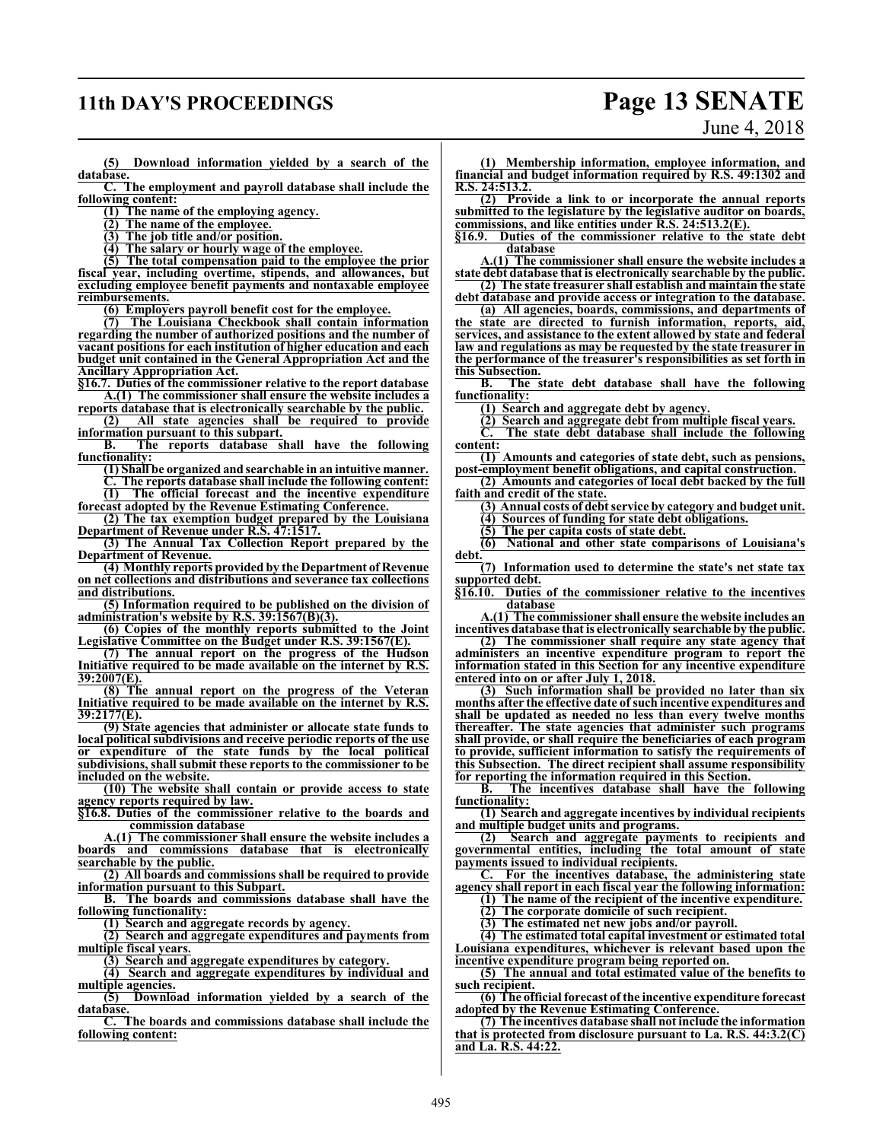# **11th DAY'S PROCEEDINGS Page 13 SENATE**

# June 4, 2018

**(5) Download information yielded by a search of the database.**

**C. The employment and payroll database shall include the following content:**

**(1) The name of the employing agency.**

**(2) The name of the employee.**

**(3) The job title and/or position.**

**(4) The salary or hourly wage of the employee.**

**(5) The total compensation paid to the employee the prior fiscal year, including overtime, stipends, and allowances, but excluding employee benefit payments and nontaxable employee reimbursements.**

**(6) Employers payroll benefit cost for the employee.**

**(7) The Louisiana Checkbook shall contain information regarding the number of authorized positions and the number of vacant positions for each institution of higher education and each budget unit contained in the General Appropriation Act and the Ancillary Appropriation Act.**

**§16.7. Duties of the commissioner relative to the report database A.(1) The commissioner shall ensure the website includes a**

**reports database that is electronically searchable by the public. (2) All state agencies shall be required to provide**

**information pursuant to this subpart. B. The reports database shall have the following functionality:**

**(1) Shall be organized and searchable in an intuitive manner. C. The reports database shall include the following content: (1) The official forecast and the incentive expenditure**

**forecast adopted by the Revenue Estimating Conference. (2) The tax exemption budget prepared by the Louisiana**

**Department of Revenue under R.S. 47:1517.**

**(3) The Annual Tax Collection Report prepared by the Department of Revenue.**

**(4) Monthly reports provided by the Department of Revenue on net collections and distributions and severance tax collections and distributions.**

**(5) Information required to be published on the division of administration's website by R.S. 39:1567(B)(3).**

**(6) Copies of the monthly reports submitted to the Joint Legislative Committee on the Budget under R.S. 39:1567(E).**

**(7) The annual report on the progress of the Hudson Initiative required to be made available on the internet by R.S. 39:2007(E).**

**(8) The annual report on the progress of the Veteran Initiative required to be made available on the internet by R.S. 39:2177(E).**

**(9) State agencies that administer or allocate state funds to local political subdivisions and receive periodic reports of the use or expenditure of the state funds by the local political subdivisions, shall submit these reports to the commissioner to be included on the website.**

**(10) The website shall contain or provide access to state agency reports required by law.**

**§16.8. Duties of the commissioner relative to the boards and commission database**

**A.(1) The commissioner shall ensure the website includes a boards and commissions database that is electronically searchable by the public.**

**(2) All boards and commissions shall be required to provide information pursuant to this Subpart.**

**B. The boards and commissions database shall have the following functionality:**

**(1) Search and aggregate records by agency.**

**(2) Search and aggregate expenditures and payments from multiple fiscal years.**

**(3) Search and aggregate expenditures by category.**

**(4) Search and aggregate expenditures by individual and multiple agencies.**

**(5) Download information yielded by a search of the database.**

**C. The boards and commissions database shall include the following content:**

**(1) Membership information, employee information, and financial and budget information required by R.S. 49:1302 and R.S. 24:513.2.**

**(2) Provide a link to or incorporate the annual reports submitted to the legislature by the legislative auditor on boards, commissions, and like entities under R.S. 24:513.2(E).**<br>§16.9. Duties of the commissioner relative to the

**§16.9. Duties of the commissioner relative to the state debt database**

**A.(1) The commissioner shall ensure the website includes a state debt database that is electronically searchable by the public. (2) The state treasurer shall establish and maintain the state**

**debt database and provide access or integration to the database. (a) All agencies, boards, commissions, and departments of**

**the state are directed to furnish information, reports, aid, services, and assistance to the extent allowed by state and federal law and regulations as may be requested by the state treasurer in the performance of the treasurer's responsibilities as set forth in this Subsection.**

**B. The state debt database shall have the following functionality:**

**(1) Search and aggregate debt by agency.**

**(2) Search and aggregate debt from multiple fiscal years.**

**C. The state debt database shall include the following content:**

**(1) Amounts and categories of state debt, such as pensions, post-employment benefit obligations, and capital construction.**

**(2) Amounts and categories of local debt backed by the full faith and credit of the state.**

**(3) Annual costs of debt service by category and budget unit.**

**(4) Sources of funding for state debt obligations.**

**(5) The per capita costs of state debt.**

**(6) National and other state comparisons of Louisiana's debt.**

**(7) Information used to determine the state's net state tax supported debt.**

**§16.10. Duties of the commissioner relative to the incentives database**

**A.(1) The commissioner shall ensure the website includes an incentives database that is electronically searchable by the public.**

**(2) The commissioner shall require any state agency that administers an incentive expenditure program to report the information stated in this Section for any incentive expenditure entered into on or after July 1, 2018.**

**(3) Such information shall be provided no later than six months after the effective date of such incentive expenditures and shall be updated as needed no less than every twelve months thereafter. The state agencies that administer such programs shall provide, or shall require the beneficiaries of each program to provide, sufficient information to satisfy the requirements of this Subsection. The direct recipient shall assume responsibility for reporting the information required in this Section.**

**B. The incentives database shall have the following functionality:**

**(1) Search and aggregate incentives by individual recipients and multiple budget units and programs.**

**(2) Search and aggregate payments to recipients and governmental entities, including the total amount of state payments issued to individual recipients.**

**C. For the incentives database, the administering state agency shall report in each fiscal year the following information:**

**(1) The name of the recipient of the incentive expenditure.**

**(2) The corporate domicile of such recipient.**

**(3) The estimated net new jobs and/or payroll.**

**(4) The estimated total capital investment or estimated total Louisiana expenditures, whichever is relevant based upon the incentive expenditure program being reported on.**

**(5) The annual and total estimated value of the benefits to such recipient.**

**(6) The official forecast of the incentive expenditure forecast adopted by the Revenue Estimating Conference.**

**(7) The incentives database shall not include the information that is protected from disclosure pursuant to La. R.S. 44:3.2(C) and La. R.S. 44:22.**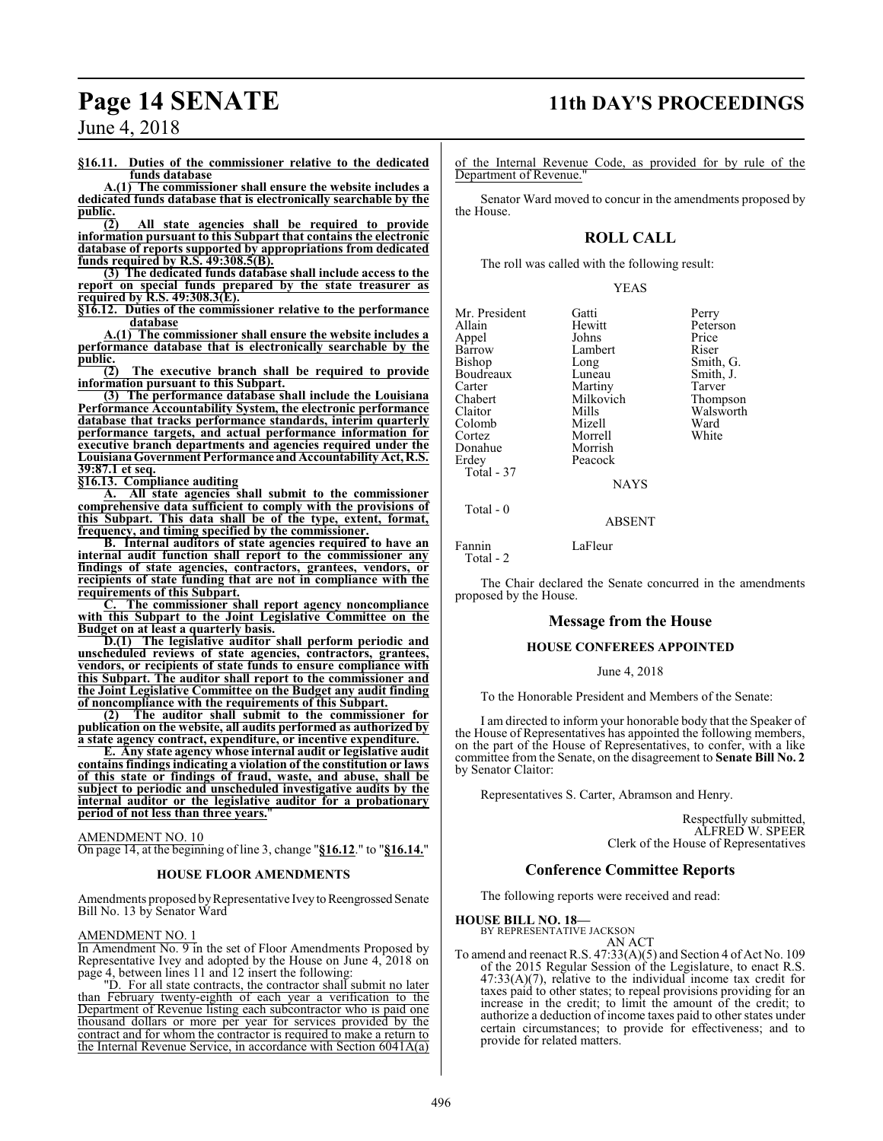# **Page 14 SENATE 11th DAY'S PROCEEDINGS**

June 4, 2018

**§16.11. Duties of the commissioner relative to the dedicated funds database**

**A.(1) The commissioner shall ensure the website includes a dedicated funds database that is electronically searchable by the**  $\frac{\text{public.}}{(2)}$ 

**(2) All state agencies shall be required to provide information pursuant to this Subpart that contains the electronic database of reports supported by appropriations from dedicated funds required by R.S. 49:308.5(B).**

**(3) The dedicated funds database shall include access to the report on special funds prepared by the state treasurer as required by R.S. 49:308.3(E).**

**§16.12. Duties of the commissioner relative to the performance database**

**A.(1) The commissioner shall ensure the website includes a performance database that is electronically searchable by the public.**

**(2) The executive branch shall be required to provide information pursuant to this Subpart.**

**(3) The performance database shall include the Louisiana Performance Accountability System, the electronic performance database that tracks performance standards, interim quarterly performance targets, and actual performance information for executive branch departments and agencies required under the LouisianaGovernment Performance andAccountability Act, R.S. 39:87.1 et seq.**

**§16.13. Compliance auditing**

**A. All state agencies shall submit to the commissioner comprehensive data sufficient to comply with the provisions of this Subpart. This data shall be of the type, extent, format, frequency, and timing specified by the commissioner.**

**B. Internal auditors of state agencies required to have an internal audit function shall report to the commissioner any findings of state agencies, contractors, grantees, vendors, or recipients of state funding that are not in compliance with the requirements of this Subpart.**

**C. The commissioner shall report agency noncompliance with this Subpart to the Joint Legislative Committee on the Budget on at least a quarterly basis.**

**D.(1) The legislative auditor shall perform periodic and unscheduled reviews of state agencies, contractors, grantees, vendors, or recipients of state funds to ensure compliance with this Subpart. The auditor shall report to the commissioner and the Joint Legislative Committee on the Budget any audit finding of noncompliance with the requirements of this Subpart.**

**(2) The auditor shall submit to the commissioner for publication on the website, all audits performed as authorized by a state agency contract, expenditure, or incentive expenditure.**

**E. Any state agency whose internal audit or legislative audit contains findings indicating a violation of the constitution or laws of this state or findings of fraud, waste, and abuse, shall be subject to periodic and unscheduled investigative audits by the internal auditor or the legislative auditor for a probationary period of not less than three years.**"

AMENDMENT NO. 10

On page 14, at the beginning of line 3, change "**§16.12**." to "**§16.14.**"

#### **HOUSE FLOOR AMENDMENTS**

Amendments proposed by Representative Ivey to Reengrossed Senate Bill No. 13 by Senator Ward

#### AMENDMENT NO. 1

In Amendment No. 9 in the set of Floor Amendments Proposed by Representative Ivey and adopted by the House on June 4, 2018 on page 4, between lines 11 and 12 insert the following:

"D. For all state contracts, the contractor shall submit no later than February twenty-eighth of each year a verification to the Department of Revenue listing each subcontractor who is paid one thousand dollars or more per year for services provided by the contract and for whom the contractor is required to make a return to the Internal Revenue Service, in accordance with Section 6041A(a)

of the Internal Revenue Code, as provided for by rule of the Department of Revenue."

Senator Ward moved to concur in the amendments proposed by the House.

### **ROLL CALL**

The roll was called with the following result:

YEAS

Mr. President Gatti Perry Appel Johns Price<br>
Barrow Lambert Riser Barrow Lambert<br>Bishop Long Boudreaux Luneau Smith,<br>Carter Martiny Tarver Carter **Cartes Martiny** Tarver<br>
Chabert Milkovich Thompson Chabert Milkovich<br>Claitor Mills Colomb Mizell Ward Donahue<br>Erdey Total - 37

Hewitt Peterson<br>
Johns Price Long Smith, G.<br>
Luneau Smith, J. Mills Walsworth<br>
Mizell Ward

ABSENT

Morrell<br>Morrish

Peacock

Fannin LaFleur Total - 2

Total - 0

The Chair declared the Senate concurred in the amendments proposed by the House.

NAYS

#### **Message from the House**

#### **HOUSE CONFEREES APPOINTED**

June 4, 2018

To the Honorable President and Members of the Senate:

I am directed to inform your honorable body that the Speaker of the House of Representatives has appointed the following members, on the part of the House of Representatives, to confer, with a like committee from the Senate, on the disagreement to **Senate Bill No. 2** by Senator Claitor:

Representatives S. Carter, Abramson and Henry.

Respectfully submitted, ALFRED W. SPEER Clerk of the House of Representatives

#### **Conference Committee Reports**

The following reports were received and read:

#### **HOUSE BILL NO. 18—**

BY REPRESENTATIVE JACKSON AN ACT

To amend and reenact R.S. 47:33(A)(5) and Section 4 of Act No. 109 of the 2015 Regular Session of the Legislature, to enact R.S.  $47:33(A)(7)$ , relative to the individual income tax credit for taxes paid to other states; to repeal provisions providing for an increase in the credit; to limit the amount of the credit; to authorize a deduction of income taxes paid to other states under certain circumstances; to provide for effectiveness; and to provide for related matters.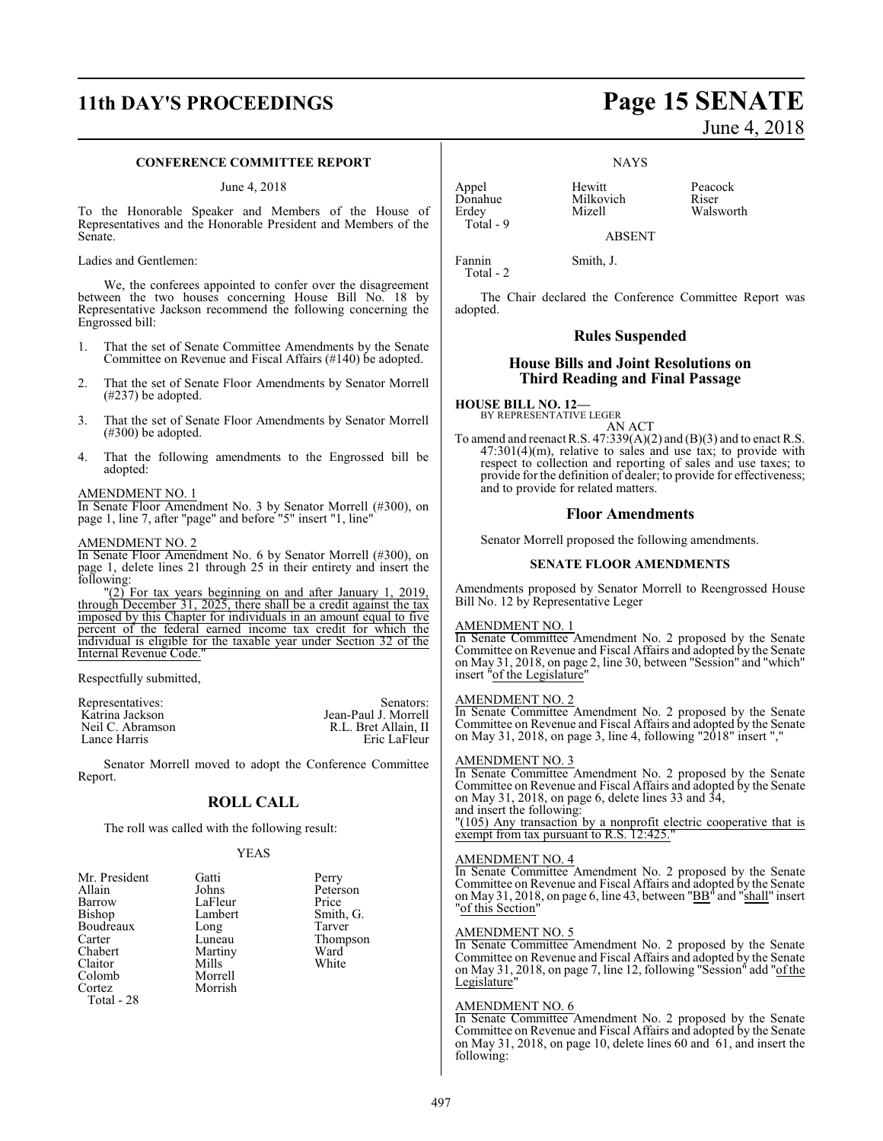# **11th DAY'S PROCEEDINGS Page 15 SENATE**

#### **CONFERENCE COMMITTEE REPORT**

#### June 4, 2018

To the Honorable Speaker and Members of the House of Representatives and the Honorable President and Members of the Senate.

Ladies and Gentlemen:

We, the conferees appointed to confer over the disagreement between the two houses concerning House Bill No. 18 by Representative Jackson recommend the following concerning the Engrossed bill:

- 1. That the set of Senate Committee Amendments by the Senate Committee on Revenue and Fiscal Affairs (#140) be adopted.
- 2. That the set of Senate Floor Amendments by Senator Morrell (#237) be adopted.
- 3. That the set of Senate Floor Amendments by Senator Morrell (#300) be adopted.
- 4. That the following amendments to the Engrossed bill be adopted:

#### AMENDMENT NO. 1

In Senate Floor Amendment No. 3 by Senator Morrell (#300), on page 1, line 7, after "page" and before "5" insert "1, line"

#### AMENDMENT NO. 2

In Senate Floor Amendment No. 6 by Senator Morrell (#300), on page 1, delete lines 21 through 25 in their entirety and insert the following:

"(2) For tax years beginning on and after January 1, 2019, through December 31, 2025, there shall be a credit against the tax imposed by this Chapter for individuals in an amount equal to five percent of the federal earned income tax credit for which the individual is eligible for the taxable year under Section 32 of the Internal Revenue Code."

٦ Respectfully submitted,

| Representatives: | Senators:            |
|------------------|----------------------|
| Katrina Jackson  | Jean-Paul J. Morrell |
| Neil C. Abramson | R.L. Bret Allain. II |
| Lance Harris     | Eric LaFleur         |

Senator Morrell moved to adopt the Conference Committee Report.

### **ROLL CALL**

The roll was called with the following result:

#### YEAS

| Mr. President | Gatti   | Perry        |
|---------------|---------|--------------|
| Allain        | Johns   | Peters       |
| Barrow        | LaFleur | Price        |
| Bishop        | Lambert | Smith        |
| Boudreaux     | Long    | <b>Tarve</b> |
| Carter        | Luneau  | Thom         |
| Chabert       | Martiny | Ward         |
| Claitor       | Mills   | White        |
| Colomb        | Morrell |              |
| Cortez        | Morrish |              |
| Total - 28    |         |              |

Peterson<br>Price LaFleur Price<br>Lambert Smith, G. Long Tarver<br>
Luneau Thomp Thompson<br>Ward Martiny Ward<br>
Mills White

Appel Hewitt Peacock<br>
Donahue Milkovich Riser Donahue Milkovich<br>Erdey Mizell Total - 9

Total - 2

Walsworth

ABSENT

Fannin Smith, J.

The Chair declared the Conference Committee Report was adopted.

NAYS

#### **Rules Suspended**

#### **House Bills and Joint Resolutions on Third Reading and Final Passage**

**HOUSE BILL NO. 12—** BY REPRESENTATIVE LEGER

AN ACT

To amend and reenact R.S.  $47:339(A)(2)$  and  $(B)(3)$  and to enact R.S.  $47:301(4)(m)$ , relative to sales and use tax; to provide with respect to collection and reporting of sales and use taxes; to provide for the definition of dealer; to provide for effectiveness; and to provide for related matters.

#### **Floor Amendments**

Senator Morrell proposed the following amendments.

#### **SENATE FLOOR AMENDMENTS**

Amendments proposed by Senator Morrell to Reengrossed House Bill No. 12 by Representative Leger

#### AMENDMENT NO. 1

In Senate Committee Amendment No. 2 proposed by the Senate Committee on Revenue and Fiscal Affairs and adopted by the Senate on May 31, 2018, on page 2, line 30, between "Session" and "which" insert "of the Legislature"

#### AMENDMENT NO. 2

In Senate Committee Amendment No. 2 proposed by the Senate Committee on Revenue and Fiscal Affairs and adopted by the Senate on May 31, 2018, on page 3, line 4, following "2018" insert ","

#### AMENDMENT NO. 3

In Senate Committee Amendment No. 2 proposed by the Senate Committee on Revenue and Fiscal Affairs and adopted by the Senate on May 31, 2018, on page 6, delete lines 33 and 34, and insert the following: "(105) Any transaction by a nonprofit electric cooperative that is exempt from tax pursuant to R.S. 12:425."

#### AMENDMENT NO. 4

In Senate Committee Amendment No. 2 proposed by the Senate Committee on Revenue and Fiscal Affairs and adopted by the Senate on May 31, 2018, on page 6, line 43, between "BB" and "shall" insert "of this Section"

#### AMENDMENT NO. 5

In Senate Committee Amendment No. 2 proposed by the Senate Committee on Revenue and Fiscal Affairs and adopted by the Senate on May 31, 2018, on page 7, line 12, following "Session" add "of the Legislature"

#### AMENDMENT NO. 6

In Senate Committee Amendment No. 2 proposed by the Senate Committee on Revenue and Fiscal Affairs and adopted by the Senate on May 31, 2018, on page 10, delete lines 60 and 61, and insert the following:

# June 4, 2018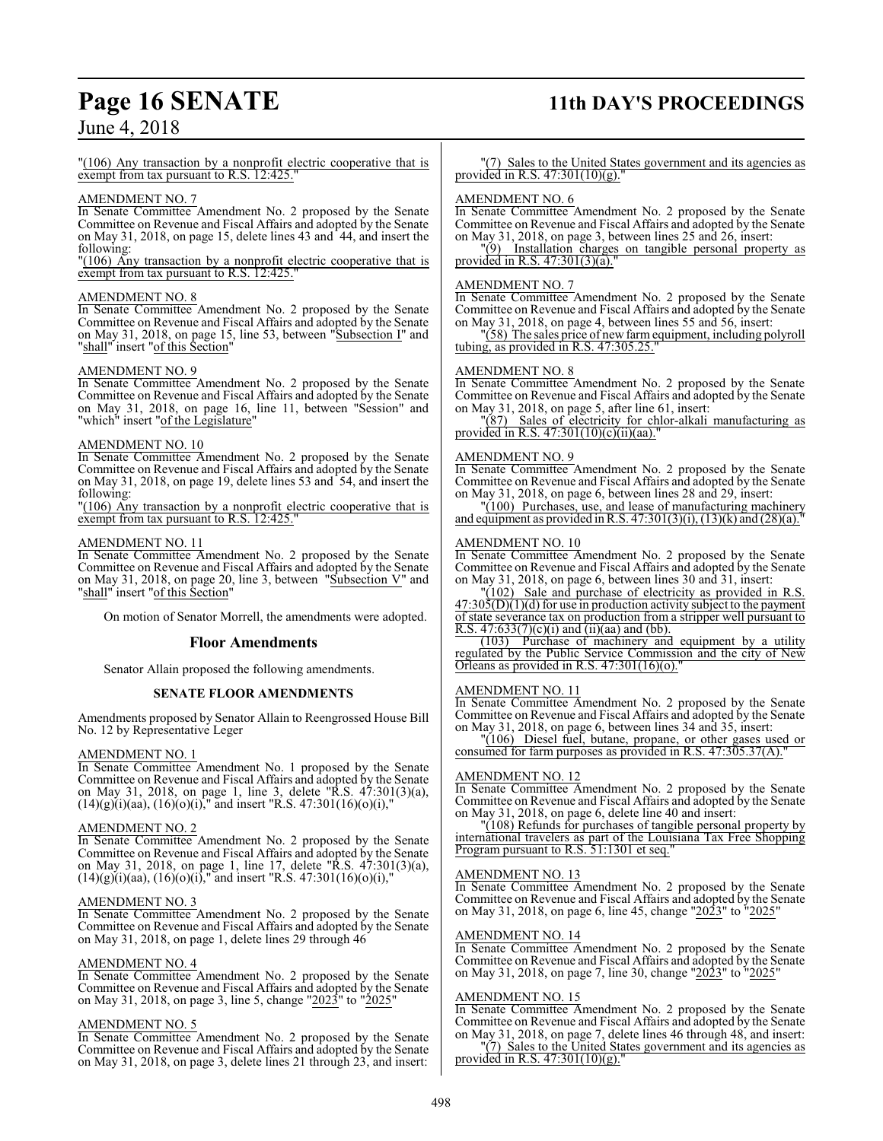# **Page 16 SENATE 11th DAY'S PROCEEDINGS**

## June 4, 2018

"(106) Any transaction by a nonprofit electric cooperative that is exempt from tax pursuant to R.S. 12:425."

#### AMENDMENT NO. 7

In Senate Committee Amendment No. 2 proposed by the Senate Committee on Revenue and Fiscal Affairs and adopted by the Senate on May 31, 2018, on page 15, delete lines 43 and 44, and insert the following:

"(106) Any transaction by a nonprofit electric cooperative that is exempt from tax pursuant to R.S. 12:425.

#### AMENDMENT NO. 8

In Senate Committee Amendment No. 2 proposed by the Senate Committee on Revenue and Fiscal Affairs and adopted by the Senate on May 31, 2018, on page 15, line 53, between "Subsection I" and "shall" insert "of this Section"

#### AMENDMENT NO. 9

In Senate Committee Amendment No. 2 proposed by the Senate Committee on Revenue and Fiscal Affairs and adopted by the Senate on May 31, 2018, on page 16, line 11, between "Session" and "which" insert "of the Legislature"

#### AMENDMENT NO. 10

In Senate Committee Amendment No. 2 proposed by the Senate Committee on Revenue and Fiscal Affairs and adopted by the Senate on May 31, 2018, on page 19, delete lines 53 and 54, and insert the following:

"(106) Any transaction by a nonprofit electric cooperative that is exempt from tax pursuant to R.S. 12:425.

#### AMENDMENT NO. 11

In Senate Committee Amendment No. 2 proposed by the Senate Committee on Revenue and Fiscal Affairs and adopted by the Senate on May 31, 2018, on page 20, line 3, between "Subsection  $V$ " and 'shall" insert "of this Section"

On motion of Senator Morrell, the amendments were adopted.

#### **Floor Amendments**

Senator Allain proposed the following amendments.

#### **SENATE FLOOR AMENDMENTS**

Amendments proposed by Senator Allain to Reengrossed House Bill No. 12 by Representative Leger

#### AMENDMENT NO. 1

In Senate Committee Amendment No. 1 proposed by the Senate Committee on Revenue and Fiscal Affairs and adopted by the Senate on May 31, 2018, on page 1, line 3, delete "R.S. 47:301(3)(a),  $(14)(g)(i)(aa)$ ,  $(16)(o)(i)$ ," and insert "R.S.  $47:301(16)(o)(i)$ ,"

#### AMENDMENT NO. 2

In Senate Committee Amendment No. 2 proposed by the Senate Committee on Revenue and Fiscal Affairs and adopted by the Senate on May 31, 2018, on page 1, line 17, delete "R.S. 47:301(3)(a),  $(14)(g)(i)(aa)$ ,  $(16)(o)(i)$ ," and insert "R.S.  $47:301(16)(o)(i)$ ,"

#### AMENDMENT NO. 3

In Senate Committee Amendment No. 2 proposed by the Senate Committee on Revenue and Fiscal Affairs and adopted by the Senate on May 31, 2018, on page 1, delete lines 29 through 46

#### AMENDMENT NO. 4

In Senate Committee Amendment No. 2 proposed by the Senate Committee on Revenue and Fiscal Affairs and adopted by the Senate on May 31, 2018, on page 3, line 5, change "2023" to "2025"

#### AMENDMENT NO. 5

In Senate Committee Amendment No. 2 proposed by the Senate Committee on Revenue and Fiscal Affairs and adopted by the Senate on May 31, 2018, on page 3, delete lines 21 through 23, and insert:

"(7) Sales to the United States government and its agencies as provided in R.S. 47:301(10)(g)."

#### AMENDMENT NO. 6

In Senate Committee Amendment No. 2 proposed by the Senate Committee on Revenue and Fiscal Affairs and adopted by the Senate on May 31, 2018, on page 3, between lines 25 and 26, insert:

"(9) Installation charges on tangible personal property as provided in R.S. 47:301(3)(a)."

#### AMENDMENT NO. 7

In Senate Committee Amendment No. 2 proposed by the Senate Committee on Revenue and Fiscal Affairs and adopted by the Senate on May 31, 2018, on page 4, between lines 55 and 56, insert:

"(58) The sales price of new farm equipment, including polyroll tubing, as provided in R.S. 47:305.25."

#### AMENDMENT NO. 8

In Senate Committee Amendment No. 2 proposed by the Senate Committee on Revenue and Fiscal Affairs and adopted by the Senate on May 31, 2018, on page 5, after line 61, insert:

"(87) Sales of electricity for chlor-alkali manufacturing as provided in R.S.  $47:301(10)(c)(ii)(aa)$ .

#### AMENDMENT NO. 9

In Senate Committee Amendment No. 2 proposed by the Senate Committee on Revenue and Fiscal Affairs and adopted by the Senate on May 31, 2018, on page 6, between lines 28 and 29, insert:

"(100) Purchases, use, and lease of manufacturing machinery and equipment as provided in R.S.  $47:301(3)(i)$ ,  $(13)(k)$  and  $(28)(a)$ ."

#### AMENDMENT NO. 10

In Senate Committee Amendment No. 2 proposed by the Senate Committee on Revenue and Fiscal Affairs and adopted by the Senate on May 31, 2018, on page 6, between lines 30 and 31, insert:

"(102) Sale and purchase of electricity as provided in R.S.  $47:30\overline{5(D)}(1)(d)$  for use in production activity subject to the payment of state severance tax on production from a stripper well pursuant to R.S.  $47:633(7)(c)(i)$  and (ii)(aa) and (bb).

(103) Purchase of machinery and equipment by a utility regulated by the Public Service Commission and the city of New Orleans as provided in R.S.  $47:301(16)(0)$ ."

#### AMENDMENT NO. 11

In Senate Committee Amendment No. 2 proposed by the Senate Committee on Revenue and Fiscal Affairs and adopted by the Senate on May 31, 2018, on page 6, between lines 34 and 35, insert:

"(106) Diesel fuel, butane, propane, or other gases used or consumed for farm purposes as provided in R.S. 47:305.37(A).

#### AMENDMENT NO. 12

In Senate Committee Amendment No. 2 proposed by the Senate Committee on Revenue and Fiscal Affairs and adopted by the Senate on May 31, 2018, on page 6, delete line 40 and insert:

"(108) Refunds for purchases of tangible personal property by international travelers as part of the Louisiana Tax Free Shopping Program pursuant to R.S. 51:1301 et seq."

#### AMENDMENT NO. 13

In Senate Committee Amendment No. 2 proposed by the Senate Committee on Revenue and Fiscal Affairs and adopted by the Senate on May 31, 2018, on page 6, line 45, change "2023" to "2025"

#### AMENDMENT NO. 14

In Senate Committee Amendment No. 2 proposed by the Senate Committee on Revenue and Fiscal Affairs and adopted by the Senate on May 31, 2018, on page 7, line 30, change "2023" to "2025"

#### AMENDMENT NO. 15

In Senate Committee Amendment No. 2 proposed by the Senate Committee on Revenue and Fiscal Affairs and adopted by the Senate on May 31, 2018, on page 7, delete lines 46 through 48, and insert: "(7) Sales to the United States government and its agencies as provided in R.S.  $47:301(10)(g)$ .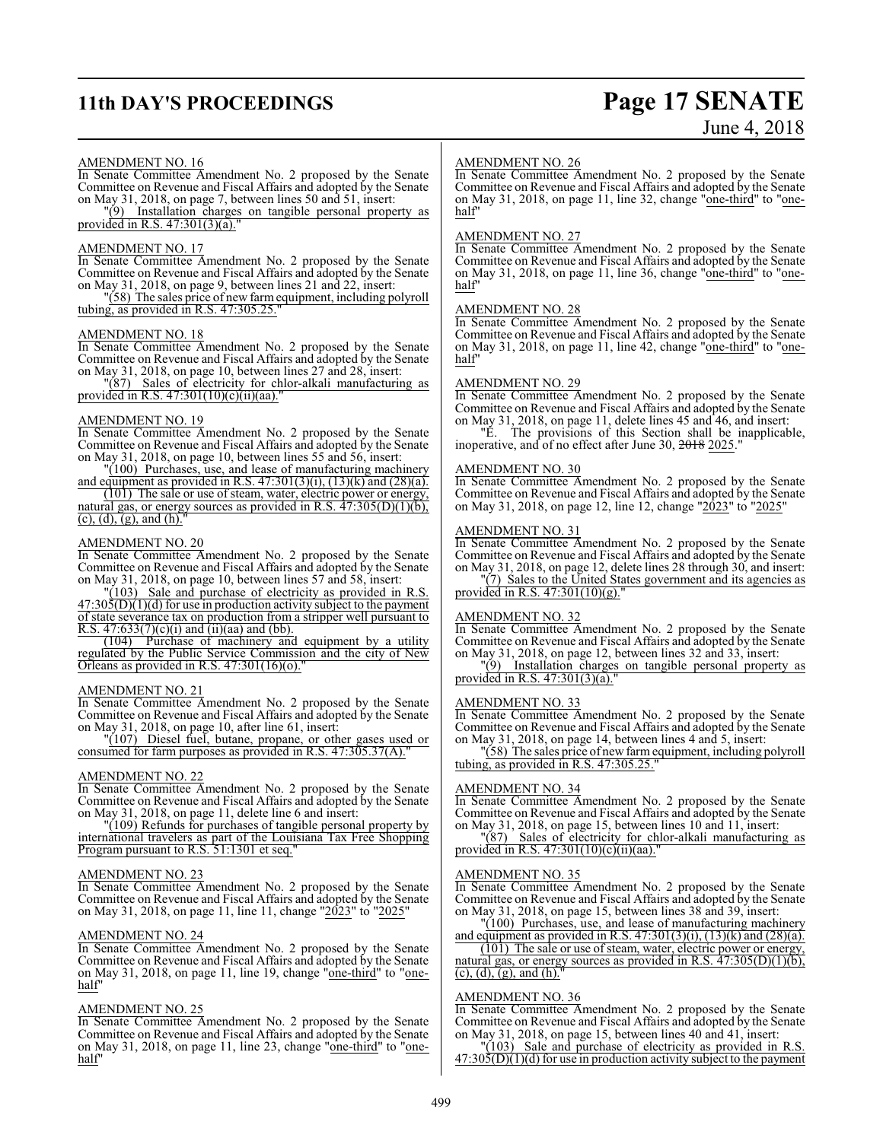# **11th DAY'S PROCEEDINGS Page 17 SENATE**

# June 4, 2018

#### AMENDMENT NO. 16

In Senate Committee Amendment No. 2 proposed by the Senate Committee on Revenue and Fiscal Affairs and adopted by the Senate on May 31, 2018, on page 7, between lines 50 and 51, insert:

"(9) Installation charges on tangible personal property as provided in R.S.  $47:301(3)(a)$ .

#### AMENDMENT NO. 17

In Senate Committee Amendment No. 2 proposed by the Senate Committee on Revenue and Fiscal Affairs and adopted by the Senate on May 31, 2018, on page 9, between lines 21 and 22, insert:

"(58) The sales price of new farmequipment, including polyroll tubing, as provided in R.S. 47:305.25."

#### AMENDMENT NO. 18

In Senate Committee Amendment No. 2 proposed by the Senate Committee on Revenue and Fiscal Affairs and adopted by the Senate on May 31, 2018, on page 10, between lines 27 and 28, insert:

"(87) Sales of electricity for chlor-alkali manufacturing as provided in R.S. 47:301(10)(c)(ii)(aa)."

#### AMENDMENT NO. 19

In Senate Committee Amendment No. 2 proposed by the Senate Committee on Revenue and Fiscal Affairs and adopted by the Senate on May 31, 2018, on page 10, between lines 55 and 56, insert:

"(100) Purchases, use, and lease of manufacturing machinery and equipment as provided in R.S.  $47:301(3)(i)$ ,  $(13)(k)$  and  $(28)(a)$ .

(101) The sale or use of steam, water, electric power or energy, natural gas, or energy sources as provided in R.S.  $47:305(D)(1)(b)$ ,  $(c)$ ,  $(d)$ ,  $(g)$ , and  $(h)$ .

#### AMENDMENT NO. 20

In Senate Committee Amendment No. 2 proposed by the Senate Committee on Revenue and Fiscal Affairs and adopted by the Senate on May 31, 2018, on page 10, between lines 57 and 58, insert:

"(103) Sale and purchase of electricity as provided in R.S.  $47:30\overline{5(D)}(1)(d)$  for use in production activity subject to the payment of state severance tax on production from a stripper well pursuant to R.S.  $47:633(7)(c)(i)$  and (ii)(aa) and (bb).

(104) Purchase of machinery and equipment by a utility regulated by the Public Service Commission and the city of New Orleans as provided in R.S. 47:301(16)(o)."

#### AMENDMENT NO. 21

In Senate Committee Amendment No. 2 proposed by the Senate Committee on Revenue and Fiscal Affairs and adopted by the Senate on May 31, 2018, on page 10, after line 61, insert:

"(107) Diesel fuel, butane, propane, or other gases used or consumed for farm purposes as provided in R.S. 47:305.37(A).

#### AMENDMENT NO. 22

In Senate Committee Amendment No. 2 proposed by the Senate Committee on Revenue and Fiscal Affairs and adopted by the Senate on May 31, 2018, on page 11, delete line 6 and insert:

"(109) Refunds for purchases of tangible personal property by international travelers as part of the Louisiana Tax Free Shopping Program pursuant to R.S. 51:1301 et seq."

#### AMENDMENT NO. 23

In Senate Committee Amendment No. 2 proposed by the Senate Committee on Revenue and Fiscal Affairs and adopted by the Senate on May 31, 2018, on page 11, line 11, change "2023" to "2025"

#### AMENDMENT NO. 24

In Senate Committee Amendment No. 2 proposed by the Senate Committee on Revenue and Fiscal Affairs and adopted by the Senate on May 31, 2018, on page 11, line 19, change "one-third" to "onehalf"

#### AMENDMENT NO. 25

In Senate Committee Amendment No. 2 proposed by the Senate Committee on Revenue and Fiscal Affairs and adopted by the Senate on May 31, 2018, on page 11, line 23, change "one-third" to "onehalf"

#### AMENDMENT NO. 26

In Senate Committee Amendment No. 2 proposed by the Senate Committee on Revenue and Fiscal Affairs and adopted by the Senate on May 31, 2018, on page 11, line 32, change "one-third" to "onehalf"

#### AMENDMENT NO. 27

In Senate Committee Amendment No. 2 proposed by the Senate Committee on Revenue and Fiscal Affairs and adopted by the Senate on May 31, 2018, on page 11, line 36, change "one-third" to "onehalf"

#### AMENDMENT NO. 28

In Senate Committee Amendment No. 2 proposed by the Senate Committee on Revenue and Fiscal Affairs and adopted by the Senate on May 31, 2018, on page 11, line 42, change "one-third" to "onehalf"

#### AMENDMENT NO. 29

In Senate Committee Amendment No. 2 proposed by the Senate Committee on Revenue and Fiscal Affairs and adopted by the Senate on May 31, 2018, on page 11, delete lines 45 and 46, and insert:

"E. The provisions of this Section shall be inapplicable, inoperative, and of no effect after June 30, 2018 2025."

#### AMENDMENT NO. 30

In Senate Committee Amendment No. 2 proposed by the Senate Committee on Revenue and Fiscal Affairs and adopted by the Senate on May 31, 2018, on page 12, line 12, change "2023" to "2025"

#### AMENDMENT NO. 31

In Senate Committee Amendment No. 2 proposed by the Senate Committee on Revenue and Fiscal Affairs and adopted by the Senate on May 31, 2018, on page 12, delete lines 28 through 30, and insert: "(7) Sales to the United States government and its agencies as

provided in R.S. 47:301(10)(g)."

#### AMENDMENT NO. 32

In Senate Committee Amendment No. 2 proposed by the Senate Committee on Revenue and Fiscal Affairs and adopted by the Senate on May 31, 2018, on page 12, between lines 32 and 33, insert:

"(9) Installation charges on tangible personal property as provided in R.S. 47:301(3)(a).

#### AMENDMENT NO. 33

In Senate Committee Amendment No. 2 proposed by the Senate Committee on Revenue and Fiscal Affairs and adopted by the Senate on May 31, 2018, on page 14, between lines 4 and 5, insert:

"(58) The sales price of new farm equipment, including polyroll tubing, as provided in R.S.  $47:305.25$ .

#### AMENDMENT NO. 34

In Senate Committee Amendment No. 2 proposed by the Senate Committee on Revenue and Fiscal Affairs and adopted by the Senate on May 31, 2018, on page 15, between lines 10 and 11, insert:

"(87) Sales of electricity for chlor-alkali manufacturing as provided in R.S. 47:301(10)(c)(ii)(aa)."

#### AMENDMENT NO. 35

In Senate Committee Amendment No. 2 proposed by the Senate Committee on Revenue and Fiscal Affairs and adopted by the Senate on May 31, 2018, on page 15, between lines 38 and 39, insert:

"(100) Purchases, use, and lease of manufacturing machinery and equipment as provided in R.S.  $47:301(3)(i)$ ,  $(13)(k)$  and  $(28)(a)$ .

(101) The sale or use of steam, water, electric power or energy, natural gas, or energy sources as provided in R.S. 47:305(D)(1)(b),  $(c)$ ,  $(d)$ ,  $(g)$ , and  $(h)$ .

#### AMENDMENT NO. 36

In Senate Committee Amendment No. 2 proposed by the Senate Committee on Revenue and Fiscal Affairs and adopted by the Senate on May 31, 2018, on page 15, between lines 40 and 41, insert:

"(103) Sale and purchase of electricity as provided in R.S.  $47:30\frac{1}{2}$ (D)(1)(d) for use in production activity subject to the payment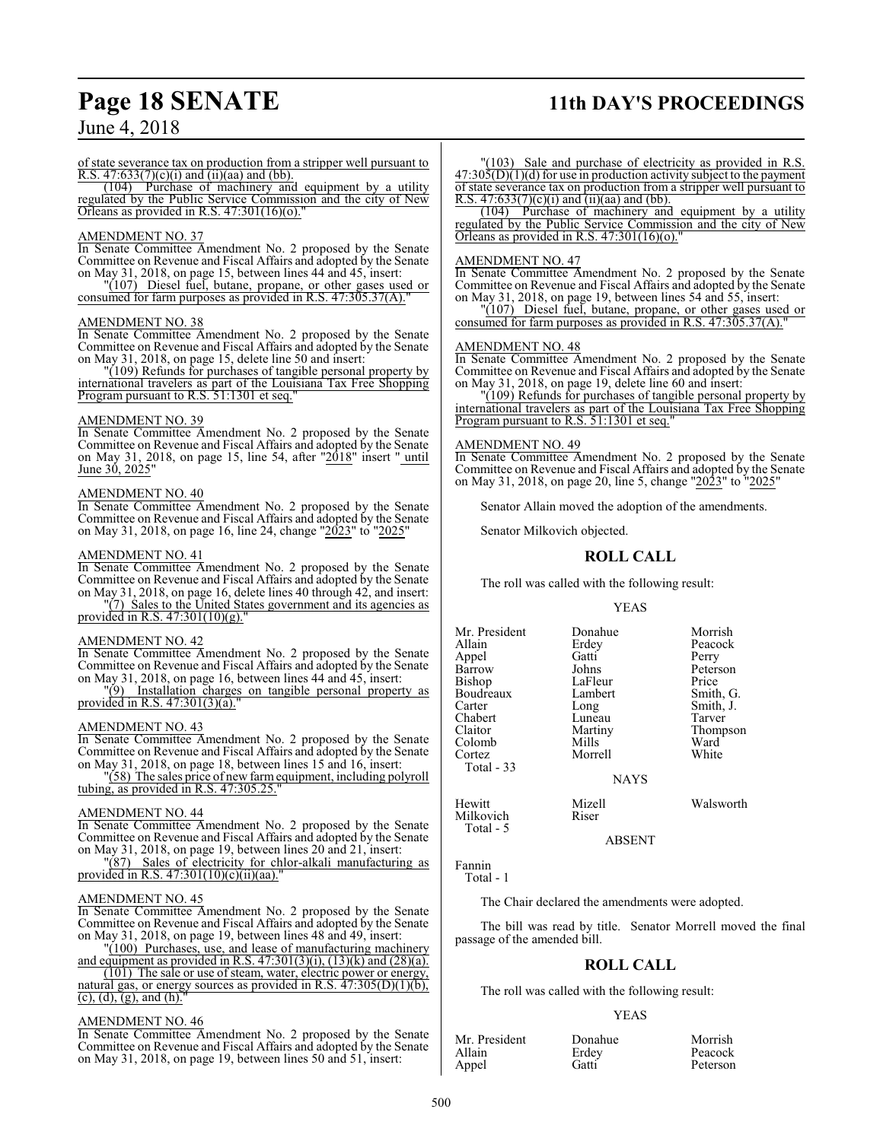# **Page 18 SENATE 11th DAY'S PROCEEDINGS**

## June 4, 2018

of state severance tax on production from a stripper well pursuant to R.S. 47:633(7)(c)(i) and (ii)(aa) and (bb).

(104) Purchase of machinery and equipment by a utility regulated by the Public Service Commission and the city of New Orleans as provided in R.S.  $47:301(16)(o)$ .

#### AMENDMENT NO. 37

In Senate Committee Amendment No. 2 proposed by the Senate Committee on Revenue and Fiscal Affairs and adopted by the Senate on May 31, 2018, on page 15, between lines 44 and 45, insert:

"(107) Diesel fuel, butane, propane, or other gases used or consumed for farm purposes as provided in R.S. 47:305.37(A)."

#### AMENDMENT NO. 38

In Senate Committee Amendment No. 2 proposed by the Senate Committee on Revenue and Fiscal Affairs and adopted by the Senate on May 31, 2018, on page 15, delete line 50 and insert:

"(109) Refunds for purchases of tangible personal property by international travelers as part of the Louisiana Tax Free Shopping Program pursuant to R.S. 51:1301 et seq."

#### AMENDMENT NO. 39

In Senate Committee Amendment No. 2 proposed by the Senate Committee on Revenue and Fiscal Affairs and adopted by the Senate on May 31, 2018, on page 15, line 54, after "2018" insert "until June 30, 2025"

#### AMENDMENT NO. 40

In Senate Committee Amendment No. 2 proposed by the Senate Committee on Revenue and Fiscal Affairs and adopted by the Senate on May 31, 2018, on page 16, line 24, change "2023" to "2025"

#### AMENDMENT NO. 41

In Senate Committee Amendment No. 2 proposed by the Senate Committee on Revenue and Fiscal Affairs and adopted by the Senate on May 31, 2018, on page 16, delete lines 40 through 42, and insert: "(7) Sales to the United States government and its agencies as

provided in R.S. 47:301(10)(g).'

#### AMENDMENT NO. 42

In Senate Committee Amendment No. 2 proposed by the Senate Committee on Revenue and Fiscal Affairs and adopted by the Senate on May 31, 2018, on page 16, between lines 44 and 45, insert:

"(9) Installation charges on tangible personal property as provided in R.S. 47:301(3)(a).

#### AMENDMENT NO. 43

In Senate Committee Amendment No. 2 proposed by the Senate Committee on Revenue and Fiscal Affairs and adopted by the Senate on May 31, 2018, on page 18, between lines 15 and 16, insert:

"(58) The sales price of new farmequipment, including polyroll tubing, as provided in R.S. 47:305.25."

#### AMENDMENT NO. 44

In Senate Committee Amendment No. 2 proposed by the Senate Committee on Revenue and Fiscal Affairs and adopted by the Senate on May 31, 2018, on page 19, between lines 20 and 21, insert:

"(87) Sales of electricity for chlor-alkali manufacturing as provided in R.S.  $47:301(10)(c)(ii)(aa)$ .

#### AMENDMENT NO. 45

In Senate Committee Amendment No. 2 proposed by the Senate Committee on Revenue and Fiscal Affairs and adopted by the Senate on May 31, 2018, on page 19, between lines 48 and 49, insert:

"(100) Purchases, use, and lease of manufacturing machinery and equipment as provided in R.S.  $47:301(3)(i)$ ,  $(13)(k)$  and  $(28)(a)$ .

(101) The sale or use of steam, water, electric power or energy, natural gas, or energy sources as provided in R.S.  $47:305(D)(1)(b)$ ,  $(c)$ ,  $(d)$ ,  $(g)$ , and  $(h)$ .

#### AMENDMENT NO. 46

In Senate Committee Amendment No. 2 proposed by the Senate Committee on Revenue and Fiscal Affairs and adopted by the Senate on May 31, 2018, on page 19, between lines 50 and 51, insert:

"(103) Sale and purchase of electricity as provided in R.S.  $47:30\overline{5(D)}(1)(d)$  for use in production activity subject to the payment of state severance tax on production from a stripper well pursuant to R.S.  $47:633(7)(c)(i)$  and  $(ii)(aa)$  and  $(bb)$ .

(104) Purchase of machinery and equipment by a utility regulated by the Public Service Commission and the city of New Orleans as provided in R.S.  $47:301(16)(o)$ .

#### AMENDMENT NO. 47

In Senate Committee Amendment No. 2 proposed by the Senate Committee on Revenue and Fiscal Affairs and adopted by the Senate on May 31, 2018, on page 19, between lines 54 and 55, insert:

"(107) Diesel fuel, butane, propane, or other gases used or consumed for farm purposes as provided in R.S. 47:305.37(A).

#### AMENDMENT NO. 48

In Senate Committee Amendment No. 2 proposed by the Senate Committee on Revenue and Fiscal Affairs and adopted by the Senate on May 31, 2018, on page 19, delete line 60 and insert:

"(109) Refunds for purchases of tangible personal property by international travelers as part of the Louisiana Tax Free Shopping Program pursuant to R.S. 51:1301 et seq."

#### AMENDMENT NO. 49

In Senate Committee Amendment No. 2 proposed by the Senate Committee on Revenue and Fiscal Affairs and adopted by the Senate on May 31, 2018, on page 20, line 5, change "2023" to "2025"

Senator Allain moved the adoption of the amendments.

Senator Milkovich objected.

#### **ROLL CALL**

The roll was called with the following result:

#### YEAS

Mr. President Donahue Morrish<br>Allain Erdey Peacock Erdey Peacock<br>Gatti Perry Appel Gatti<br>Barrow Johns Barrow Johns Peterson<br>Bishop LaFleur Price LaFleur Price<br>Lambert Smith, G. Boudreaux Lamb<br>Carter Long Long Smith, J.<br>Luneau Tarver Chabert Luneau<br>Claitor Martiny Martiny Thompson<br>
Mills Ward Colomb Mills Ward<br>
Cortez Morrell White Morrell Total - 33 NAYS Hewitt Mizell Walsworth

ABSENT

Fannin Total - 1

Milkovich Total - 5

The Chair declared the amendments were adopted.

The bill was read by title. Senator Morrell moved the final passage of the amended bill.

#### **ROLL CALL**

The roll was called with the following result:

#### YEAS

| Mr. President | Donahue | Morrish  |
|---------------|---------|----------|
| Allain        | Erdey   | Peacock  |
| Appel         | Gatti   | Peterson |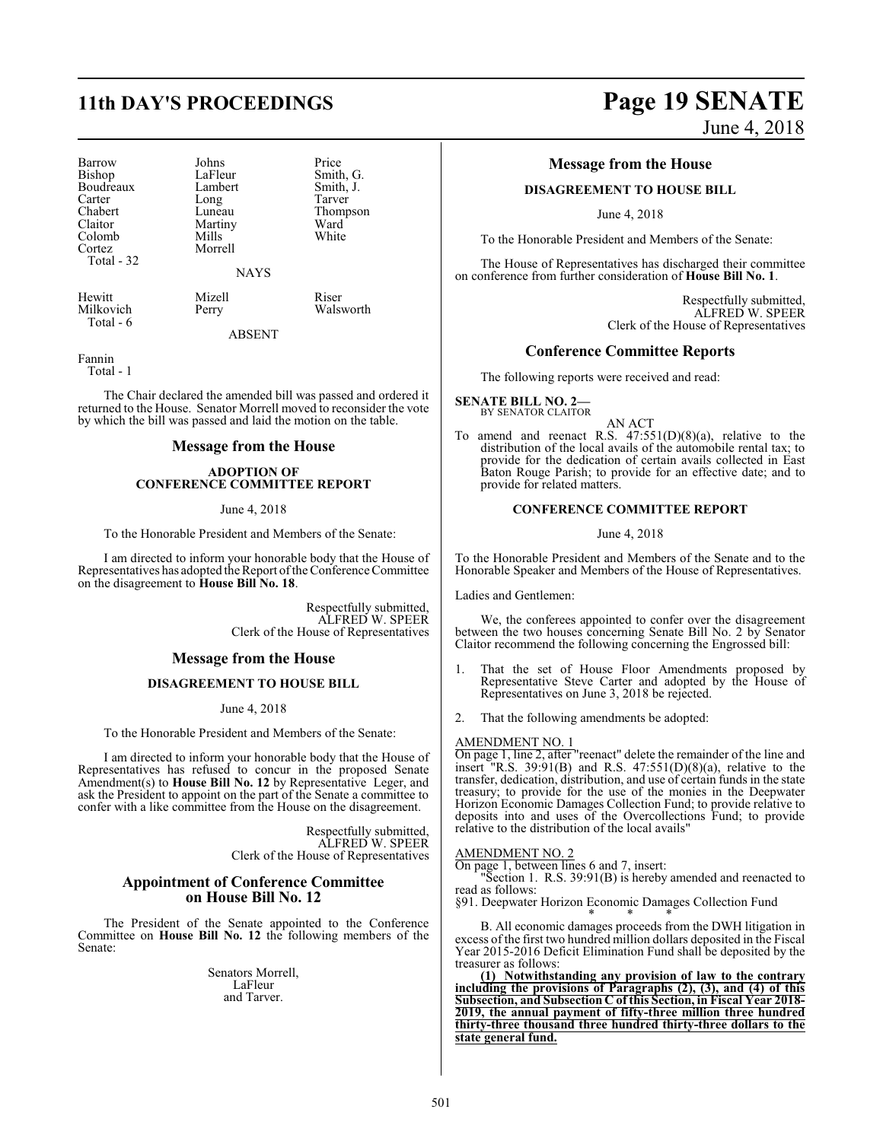| Barrow<br>Bishop<br>Boudreaux<br>Carter<br>Chabert<br>Claitor<br>Colomb<br>Cortez<br>Total - 32 | Johns<br>LaFleur<br>Lambert<br>Long<br>Luneau<br>Martiny<br>Mills<br>Morrell<br><b>NAYS</b> | Price<br>Smith, G.<br>Smith, J.<br>Tarver<br>Thompson<br>Ward<br>White |
|-------------------------------------------------------------------------------------------------|---------------------------------------------------------------------------------------------|------------------------------------------------------------------------|
| Hewitt<br>Milkovich<br>Total - 6                                                                | Mizell<br>Perry                                                                             | Riser<br>Walsworth                                                     |

ABSENT

Fannin

Total - 1

The Chair declared the amended bill was passed and ordered it returned to the House. Senator Morrell moved to reconsider the vote by which the bill was passed and laid the motion on the table.

#### **Message from the House**

#### **ADOPTION OF CONFERENCE COMMITTEE REPORT**

#### June 4, 2018

To the Honorable President and Members of the Senate:

I am directed to inform your honorable body that the House of Representatives has adopted the Report of the Conference Committee on the disagreement to **House Bill No. 18**.

> Respectfully submitted, ALFRED W. SPEER Clerk of the House of Representatives

#### **Message from the House**

#### **DISAGREEMENT TO HOUSE BILL**

June 4, 2018

To the Honorable President and Members of the Senate:

I am directed to inform your honorable body that the House of Representatives has refused to concur in the proposed Senate Amendment(s) to **House Bill No. 12** by Representative Leger, and ask the President to appoint on the part of the Senate a committee to confer with a like committee from the House on the disagreement.

> Respectfully submitted, ALFRED W. SPEER Clerk of the House of Representatives

#### **Appointment of Conference Committee on House Bill No. 12**

The President of the Senate appointed to the Conference Committee on **House Bill No. 12** the following members of the Senate:

> Senators Morrell, LaFleur and Tarver.

# **11th DAY'S PROCEEDINGS Page 19 SENATE** June 4, 2018

### **Message from the House**

#### **DISAGREEMENT TO HOUSE BILL**

June 4, 2018

To the Honorable President and Members of the Senate:

The House of Representatives has discharged their committee on conference from further consideration of **House Bill No. 1**.

> Respectfully submitted, ALFRED W. SPEER Clerk of the House of Representatives

#### **Conference Committee Reports**

The following reports were received and read:

**SENATE BILL NO. 2—** BY SENATOR CLAITOR

AN ACT

To amend and reenact R.S.  $47:551(D)(8)(a)$ , relative to the distribution of the local avails of the automobile rental tax; to provide for the dedication of certain avails collected in East Baton Rouge Parish; to provide for an effective date; and to provide for related matters.

#### **CONFERENCE COMMITTEE REPORT**

June 4, 2018

To the Honorable President and Members of the Senate and to the Honorable Speaker and Members of the House of Representatives.

Ladies and Gentlemen:

We, the conferees appointed to confer over the disagreement between the two houses concerning Senate Bill No. 2 by Senator Claitor recommend the following concerning the Engrossed bill:

- 1. That the set of House Floor Amendments proposed by Representative Steve Carter and adopted by the House of Representatives on June 3, 2018 be rejected.
- 2. That the following amendments be adopted:

#### AMENDMENT NO. 1

On page 1, line 2, after "reenact" delete the remainder of the line and  $"R.S. 39:91(B)$  and R.S.  $47:551(D)(8)(a)$ , relative to the transfer, dedication, distribution, and use of certain funds in the state treasury; to provide for the use of the monies in the Deepwater Horizon Economic Damages Collection Fund; to provide relative to deposits into and uses of the Overcollections Fund; to provide relative to the distribution of the local avails"

#### AMENDMENT NO. 2

On page 1, between lines 6 and 7, insert:

"Section 1. R.S. 39:91(B) is hereby amended and reenacted to read as follows:

§91. Deepwater Horizon Economic Damages Collection Fund

\* \* \* B. All economic damages proceeds from the DWH litigation in excess of the first two hundred million dollars deposited in the Fiscal Year 2015-2016 Deficit Elimination Fund shall be deposited by the treasurer as follows:

**(1) Notwithstanding any provision of law to the contrary including the provisions of Paragraphs (2), (3), and (4) of this Subsection, and Subsection C of this Section, in Fiscal Year 2018- 2019, the annual payment of fifty-three million three hundred thirty-three thousand three hundred thirty-three dollars to the state general fund.**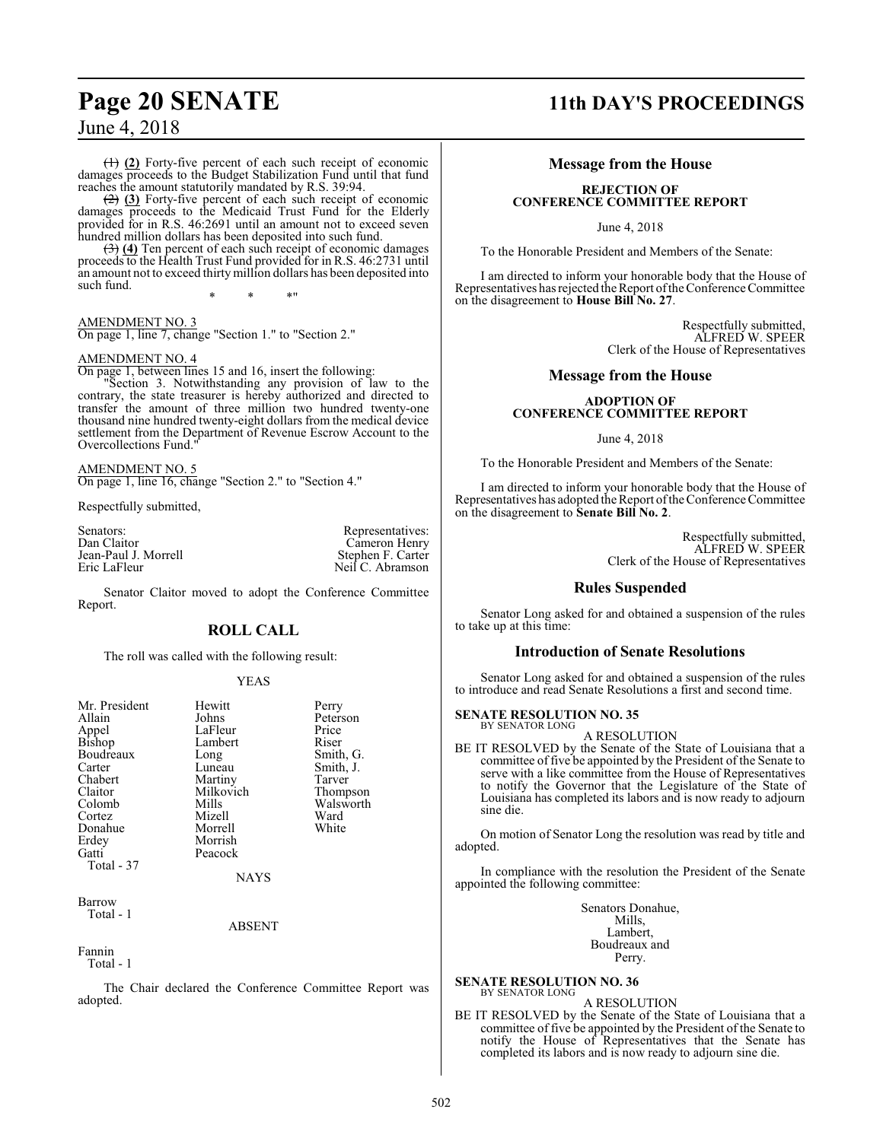(1) **(2)** Forty-five percent of each such receipt of economic damages proceeds to the Budget Stabilization Fund until that fund reaches the amount statutorily mandated by R.S. 39:94.

(2) **(3)** Forty-five percent of each such receipt of economic damages proceeds to the Medicaid Trust Fund for the Elderly provided for in R.S. 46:2691 until an amount not to exceed seven hundred million dollars has been deposited into such fund.

(3) **(4)** Ten percent of each such receipt of economic damages proceeds to the Health Trust Fund provided for in R.S. 46:2731 until an amount not to exceed thirty million dollars has been deposited into such fund.

\* \* \*"

AMENDMENT NO. 3 On page 1, line 7, change "Section 1." to "Section 2."

#### AMENDMENT NO. 4

On page 1, between lines 15 and 16, insert the following: "Section 3. Notwithstanding any provision of law to the

contrary, the state treasurer is hereby authorized and directed to transfer the amount of three million two hundred twenty-one thousand nine hundred twenty-eight dollars from the medical device settlement from the Department of Revenue Escrow Account to the Overcollections Fund."

AMENDMENT NO. 5 On page 1, line 16, change "Section 2." to "Section 4."

Respectfully submitted,

Senators: Representatives: Representatives: Cameron Henry Cameron Henry<br>Stephen F. Carter Jean-Paul J. Morrell<br>Fric LaFleur Neil C. Abramson

Senator Claitor moved to adopt the Conference Committee Report.

## **ROLL CALL**

The roll was called with the following result:

#### YEAS

| Mr. President<br>Allain<br>Appel<br>Bishop<br>Boudreaux<br>Carter<br>Chabert<br>Claitor<br>Colomb<br>Cortez<br>Donahue<br>Erdey<br>Gatti<br>Total - 37 | Hewitt<br>Johns<br>LaFleur<br>Lambert<br>Long<br>Luneau<br>Martiny<br>Milkovich<br>Mills<br>Mizell<br>Morrell<br>Morrish<br>Peacock<br><b>NAYS</b> | Perry<br>Peterson<br>Price<br>Riser<br>Smith, G.<br>Smith, J.<br>Tarver<br>Thompson<br>Walsworth<br>Ward<br>White |
|--------------------------------------------------------------------------------------------------------------------------------------------------------|----------------------------------------------------------------------------------------------------------------------------------------------------|-------------------------------------------------------------------------------------------------------------------|
| Barrow<br>Total - 1                                                                                                                                    |                                                                                                                                                    |                                                                                                                   |

ABSENT

Fannin

Total - 1

The Chair declared the Conference Committee Report was adopted.

# **Page 20 SENATE 11th DAY'S PROCEEDINGS**

#### **Message from the House**

#### **REJECTION OF CONFERENCE COMMITTEE REPORT**

June 4, 2018

To the Honorable President and Members of the Senate:

I am directed to inform your honorable body that the House of Representatives has rejected the Report ofthe Conference Committee on the disagreement to **House Bill No. 27**.

> Respectfully submitted, ALFRED W. SPEER Clerk of the House of Representatives

#### **Message from the House**

#### **ADOPTION OF CONFERENCE COMMITTEE REPORT**

June 4, 2018

To the Honorable President and Members of the Senate:

I am directed to inform your honorable body that the House of Representatives has adopted the Report ofthe Conference Committee on the disagreement to **Senate Bill No. 2**.

> Respectfully submitted, ALFRED W. SPEER Clerk of the House of Representatives

#### **Rules Suspended**

Senator Long asked for and obtained a suspension of the rules to take up at this time:

#### **Introduction of Senate Resolutions**

Senator Long asked for and obtained a suspension of the rules to introduce and read Senate Resolutions a first and second time.

#### **SENATE RESOLUTION NO. 35**

BY SENATOR LONG A RESOLUTION

BE IT RESOLVED by the Senate of the State of Louisiana that a committee of five be appointed by the President of the Senate to serve with a like committee from the House of Representatives to notify the Governor that the Legislature of the State of Louisiana has completed its labors and is now ready to adjourn sine die.

On motion of Senator Long the resolution was read by title and adopted.

In compliance with the resolution the President of the Senate appointed the following committee:

> Senators Donahue, Mills, Lambert, Boudreaux and Perry.

**SENATE RESOLUTION NO. 36** BY SENATOR LONG

#### A RESOLUTION

BE IT RESOLVED by the Senate of the State of Louisiana that a committee of five be appointed by the President of the Senate to notify the House of Representatives that the Senate has completed its labors and is now ready to adjourn sine die.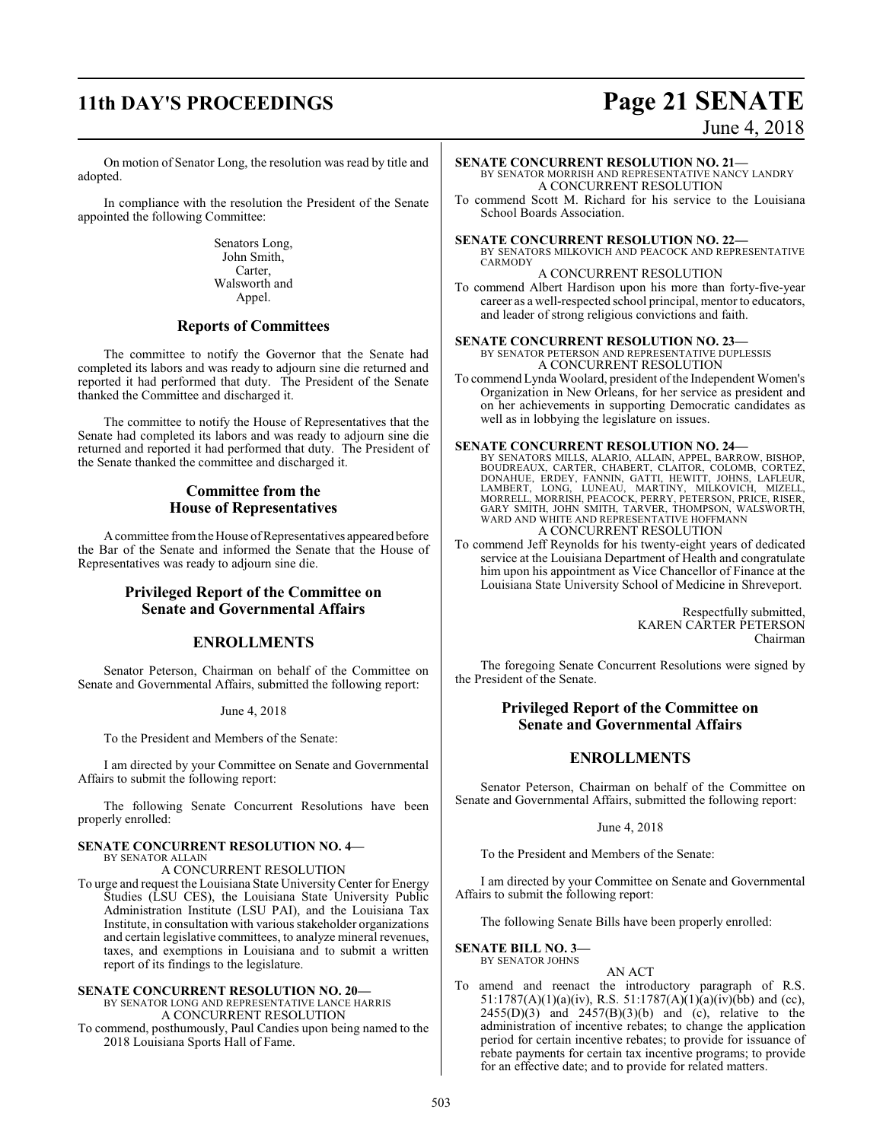# **11th DAY'S PROCEEDINGS Page 21 SENATE**

# June 4, 2018

On motion of Senator Long, the resolution was read by title and adopted.

In compliance with the resolution the President of the Senate appointed the following Committee:

> Senators Long, John Smith, Carter, Walsworth and Appel.

#### **Reports of Committees**

The committee to notify the Governor that the Senate had completed its labors and was ready to adjourn sine die returned and reported it had performed that duty. The President of the Senate thanked the Committee and discharged it.

The committee to notify the House of Representatives that the Senate had completed its labors and was ready to adjourn sine die returned and reported it had performed that duty. The President of the Senate thanked the committee and discharged it.

### **Committee from the House of Representatives**

A committee from the House of Representatives appeared before the Bar of the Senate and informed the Senate that the House of Representatives was ready to adjourn sine die.

#### **Privileged Report of the Committee on Senate and Governmental Affairs**

#### **ENROLLMENTS**

Senator Peterson, Chairman on behalf of the Committee on Senate and Governmental Affairs, submitted the following report:

June 4, 2018

To the President and Members of the Senate:

I am directed by your Committee on Senate and Governmental Affairs to submit the following report:

The following Senate Concurrent Resolutions have been properly enrolled:

#### **SENATE CONCURRENT RESOLUTION NO. 4—** BY SENATOR ALLAIN

A CONCURRENT RESOLUTION

To urge and request the Louisiana State UniversityCenter for Energy Studies (LSU CES), the Louisiana State University Public Administration Institute (LSU PAI), and the Louisiana Tax Institute, in consultation with various stakeholder organizations and certain legislative committees, to analyze mineral revenues, taxes, and exemptions in Louisiana and to submit a written report of its findings to the legislature.

#### **SENATE CONCURRENT RESOLUTION NO. 20—**

BY SENATOR LONG AND REPRESENTATIVE LANCE HARRIS A CONCURRENT RESOLUTION

To commend, posthumously, Paul Candies upon being named to the 2018 Louisiana Sports Hall of Fame.

- **SENATE CONCURRENT RESOLUTION NO. 21—** BY SENATOR MORRISH AND REPRESENTATIVE NANCY LANDRY A CONCURRENT RESOLUTION
- To commend Scott M. Richard for his service to the Louisiana School Boards Association.

#### **SENATE CONCURRENT RESOLUTION NO. 22—**

BY SENATORS MILKOVICH AND PEACOCK AND REPRESENTATIVE CARMODY

A CONCURRENT RESOLUTION To commend Albert Hardison upon his more than forty-five-year career as a well-respected school principal, mentor to educators, and leader of strong religious convictions and faith.

#### **SENATE CONCURRENT RESOLUTION NO. 23—** BY SENATOR PETERSON AND REPRESENTATIVE DUPLESSIS

A CONCURRENT RESOLUTION To commend Lynda Woolard, president of the Independent Women's Organization in New Orleans, for her service as president and on her achievements in supporting Democratic candidates as well as in lobbying the legislature on issues.

**SENATE CONCURRENT RESOLUTION NO. 24—**<br>BY SENATORS MILLS, ALARIO, ALLAIN, APPEL, BARROW, BISHOP,<br>BOUDREAUX, CARTER, CHABERT, CLAITOR, COLOMB, CORTEZ, DONAHUE, ERDEY, FANNIN, GATTI, HEWITT, JOHNS, LAFLEUR,<br>LAMBERT, LONG, LUNEAU, MARTINY, MILKOVICH, MIZELL,<br>MORRELL, MORRISH, PEACOCK, PERRY, PETERSON, PRICE, RISER,<br>GARY SMITH, JOHN SMITH, TARVER, THOMPSON, WALSWORTH,<br>WARD A CONCURRENT RESOLUTION

To commend Jeff Reynolds for his twenty-eight years of dedicated service at the Louisiana Department of Health and congratulate him upon his appointment as Vice Chancellor of Finance at the Louisiana State University School of Medicine in Shreveport.

> Respectfully submitted, KAREN CARTER PETERSON Chairman

The foregoing Senate Concurrent Resolutions were signed by the President of the Senate.

### **Privileged Report of the Committee on Senate and Governmental Affairs**

## **ENROLLMENTS**

Senator Peterson, Chairman on behalf of the Committee on Senate and Governmental Affairs, submitted the following report:

#### June 4, 2018

To the President and Members of the Senate:

I am directed by your Committee on Senate and Governmental Affairs to submit the following report:

The following Senate Bills have been properly enrolled:

#### **SENATE BILL NO. 3—** BY SENATOR JOHNS

AN ACT

To amend and reenact the introductory paragraph of R.S. 51:1787(A)(1)(a)(iv), R.S. 51:1787(A)(1)(a)(iv)(bb) and (cc),  $2455(D)(3)$  and  $2457(B)(3)(b)$  and (c), relative to the administration of incentive rebates; to change the application period for certain incentive rebates; to provide for issuance of rebate payments for certain tax incentive programs; to provide for an effective date; and to provide for related matters.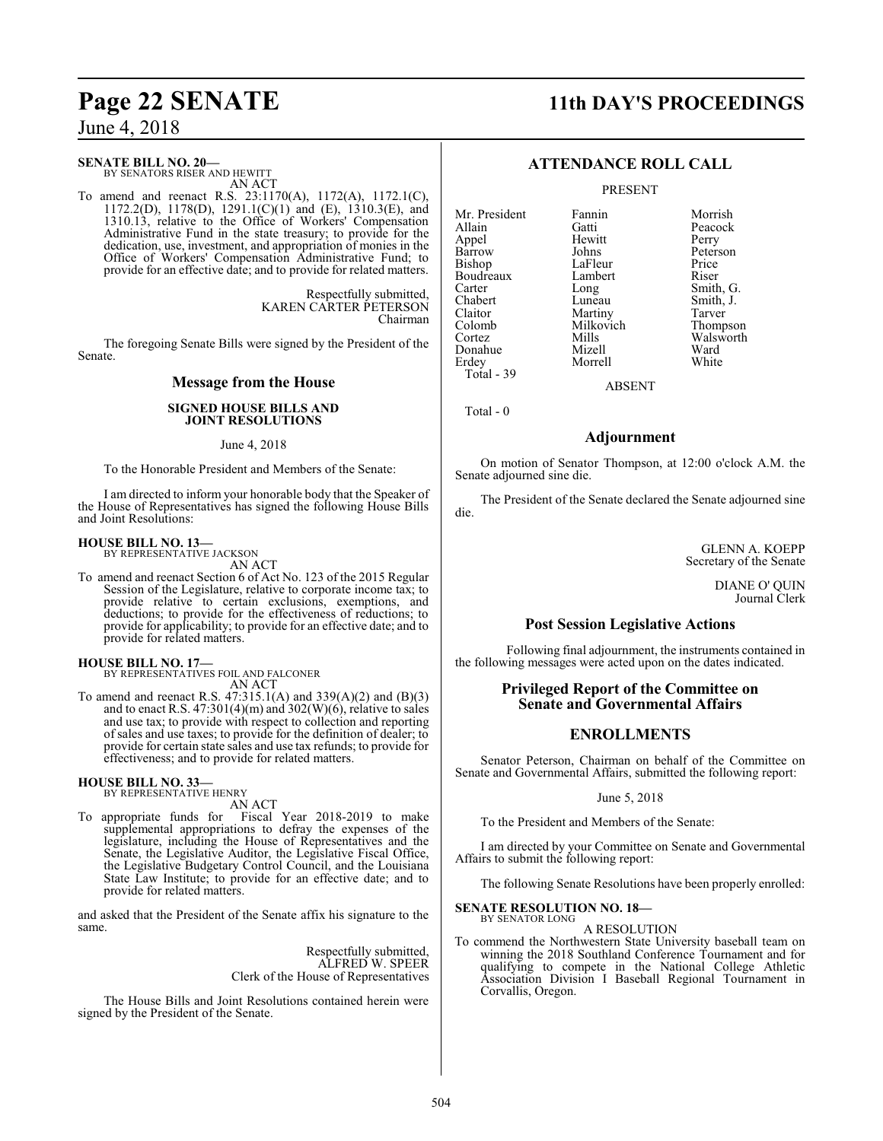**SENATE BILL NO. 20—**

BY SENATORS RISER AND HEWITT AN ACT

To amend and reenact R.S. 23:1170(A), 1172(A), 1172.1(C), 1172.2(D), 1178(D), 1291.1(C)(1) and (E), 1310.3(E), and 1310.13, relative to the Office of Workers' Compensation Administrative Fund in the state treasury; to provide for the dedication, use, investment, and appropriation of monies in the Office of Workers' Compensation Administrative Fund; to provide for an effective date; and to provide for related matters.

> Respectfully submitted, KAREN CARTER PETERSON Chairman

The foregoing Senate Bills were signed by the President of the Senate.

### **Message from the House**

#### **SIGNED HOUSE BILLS AND JOINT RESOLUTIONS**

#### June 4, 2018

To the Honorable President and Members of the Senate:

I am directed to inform your honorable body that the Speaker of the House of Representatives has signed the following House Bills and Joint Resolutions:

#### **HOUSE BILL NO. 13—**

BY REPRESENTATIVE JACKSON AN ACT

To amend and reenact Section 6 of Act No. 123 of the 2015 Regular Session of the Legislature, relative to corporate income tax; to provide relative to certain exclusions, exemptions, and deductions; to provide for the effectiveness of reductions; to provide for applicability; to provide for an effective date; and to provide for related matters.

**HOUSE BILL NO. 17—** BY REPRESENTATIVES FOIL AND FALCONER AN ACT

To amend and reenact R.S. 47:315.1(A) and 339(A)(2) and (B)(3) and to enact R.S.  $47:301(4)(m)$  and  $302(W)(6)$ , relative to sales and use tax; to provide with respect to collection and reporting of sales and use taxes; to provide for the definition of dealer; to provide for certain state sales and use tax refunds; to provide for effectiveness; and to provide for related matters.

# **HOUSE BILL NO. 33—**

BY REPRESENTATIVE HENRY AN ACT

To appropriate funds for Fiscal Year 2018-2019 to make supplemental appropriations to defray the expenses of the legislature, including the House of Representatives and the Senate, the Legislative Auditor, the Legislative Fiscal Office, the Legislative Budgetary Control Council, and the Louisiana State Law Institute; to provide for an effective date; and to provide for related matters.

and asked that the President of the Senate affix his signature to the same.

> Respectfully submitted, ALFRED W. SPEER Clerk of the House of Representatives

The House Bills and Joint Resolutions contained herein were signed by the President of the Senate.

# **Page 22 SENATE 11th DAY'S PROCEEDINGS**

## **ATTENDANCE ROLL CALL**

PRESENT

Mr. President Fannin Morrish Appel Hewit<br>Barrow Johns Bishop LaFleur Price<br>Boudreaux Lambert Riser Boudreaux Lamb<br>Carter Long Carter Long Smith, G.<br>
Chabert Luneau Smith, J. Chabert Luneau Smith, J. Claitor Martiny Tarver<br>Colomb Milkovich Thompson Colomb Milkovich<br>Cortez Mills Donahue Mizell Ward Total - 39

Gatti Peacock<br>
Hewitt Perry Morrell

Peterson<br>Price Mills Walsworth<br>
Mizell Ward

Total - 0

#### **Adjournment**

ABSENT

On motion of Senator Thompson, at 12:00 o'clock A.M. the Senate adjourned sine die.

The President of the Senate declared the Senate adjourned sine die.

> GLENN A. KOEPP Secretary of the Senate

> > DIANE O' QUIN Journal Clerk

### **Post Session Legislative Actions**

Following final adjournment, the instruments contained in the following messages were acted upon on the dates indicated.

#### **Privileged Report of the Committee on Senate and Governmental Affairs**

## **ENROLLMENTS**

Senator Peterson, Chairman on behalf of the Committee on Senate and Governmental Affairs, submitted the following report:

#### June 5, 2018

To the President and Members of the Senate:

I am directed by your Committee on Senate and Governmental Affairs to submit the following report:

The following Senate Resolutions have been properly enrolled:

#### **SENATE RESOLUTION NO. 18—** BY SENATOR LONG

A RESOLUTION

To commend the Northwestern State University baseball team on winning the 2018 Southland Conference Tournament and for qualifying to compete in the National College Athletic Association Division I Baseball Regional Tournament in Corvallis, Oregon.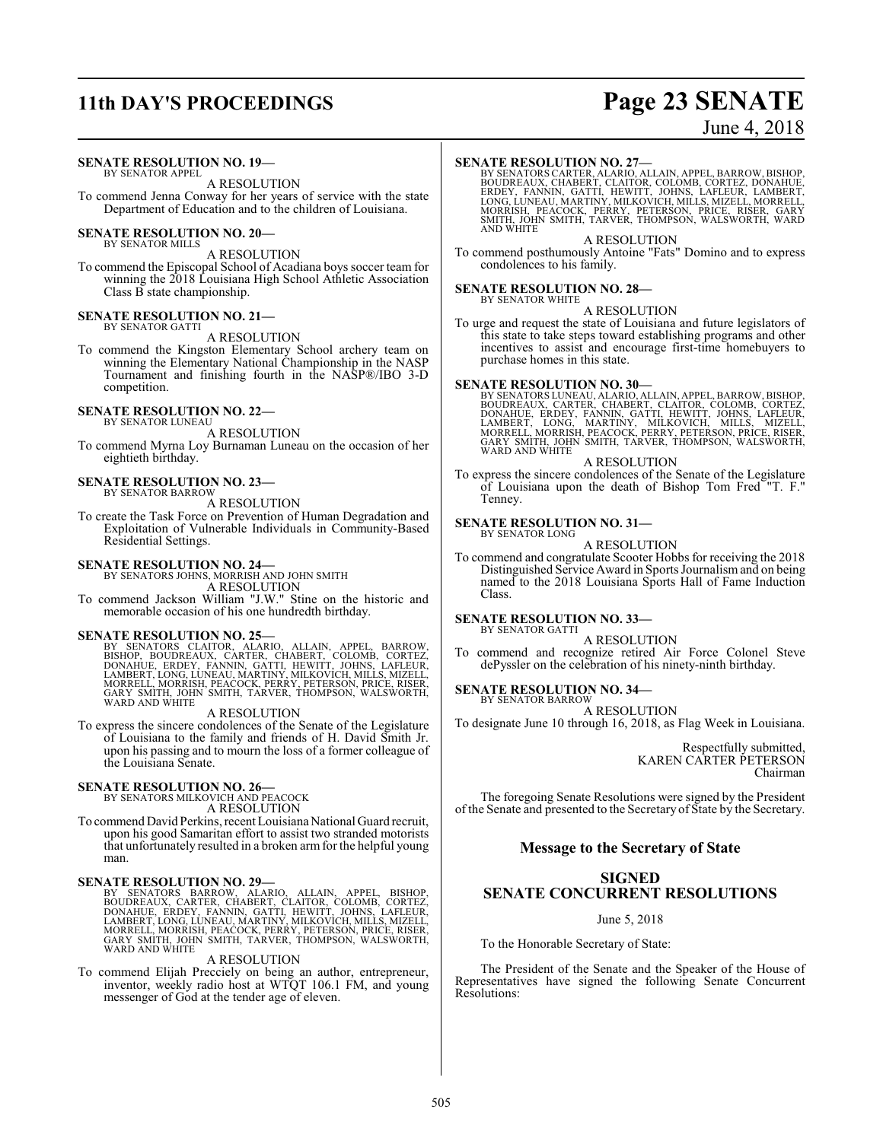# **11th DAY'S PROCEEDINGS Page 23 SENATE**

# June 4, 2018

#### **SENATE RESOLUTION NO. 19—**

BY SENATOR APPEL A RESOLUTION

To commend Jenna Conway for her years of service with the state Department of Education and to the children of Louisiana.

# **SENATE RESOLUTION NO. 20—** BY SENATOR MILLS

A RESOLUTION To commend the Episcopal School of Acadiana boys soccer team for winning the 2018 Louisiana High School Athletic Association Class B state championship.

# **SENATE RESOLUTION NO. 21—** BY SENATOR GATTI

A RESOLUTION

To commend the Kingston Elementary School archery team on winning the Elementary National Championship in the NASP Tournament and finishing fourth in the NASP®/IBO 3-D competition.

# **SENATE RESOLUTION NO. 22—** BY SENATOR LUNEAU

A RESOLUTION

To commend Myrna Loy Burnaman Luneau on the occasion of her eightieth birthday.

#### **SENATE RESOLUTION NO. 23—** BY SENATOR BARROW

A RESOLUTION

To create the Task Force on Prevention of Human Degradation and Exploitation of Vulnerable Individuals in Community-Based Residential Settings.

# **SENATE RESOLUTION NO. 24—** BY SENATORS JOHNS, MORRISH AND JOHN SMITH

A RESOLUTION

To commend Jackson William "J.W." Stine on the historic and memorable occasion of his one hundredth birthday.

#### **SENATE RESOLUTION NO. 25—**

BY SENATORS CLAITOR, ALARIO, ALLAIN, APPEL, BARROW,<br>BISHOP, BOUDREAUX, CARTER, CHABERT, COLOMB, CORTEZ,<br>DONAHUE, ERDEY, FANNIN, GATTI, HEWITT, JOHNS, LAFLEUR,<br>LAMBERT,LONG,LUNEAU,MARTINY,MILKOVICH,MILLS,MIZELL,<br>MORRELL,MOR

#### A RESOLUTION

To express the sincere condolences of the Senate of the Legislature of Louisiana to the family and friends of H. David Smith Jr. upon his passing and to mourn the loss of a former colleague of the Louisiana Senate.

#### **SENATE RESOLUTION NO. 26—**

BY SENATORS MILKOVICH AND PEACOCK

A RESOLUTION

To commend David Perkins, recent Louisiana National Guard recruit, upon his good Samaritan effort to assist two stranded motorists that unfortunately resulted in a broken armfor the helpful young man.

#### **SENATE RESOLUTION NO. 29—**

BY SENATORS BARROW, ALARIO, ALLAIN, APPEL, BISHOP,<br>BOUDREAUX, CARTER, CHABERT, CLAITOR, COLOMB, CORTEZ,<br>DONAHUE, ERDEY, FANNIN, GATTI, HEWITT, JOHNS, LAFLEUR,<br>LAMBERT,LONG,LUNEAU,MARTINY,MILKOVICH,MILLS,MIZELL,<br>MORRELL,MOR WARD AND WHITE

#### A RESOLUTION

To commend Elijah Precciely on being an author, entrepreneur, inventor, weekly radio host at WTQT 106.1 FM, and young messenger of God at the tender age of eleven.

#### **SENATE RESOLUTION NO. 27—**

BY SENATORS CARTER, ALARIO, ALLAIN, APPEL, BARROW, BISHOP,<br>BOUDREAUX, CHABERT, CLAITOR, COLOMB, CORTEZ, DONAHUE,<br>ERDEY, FANNIN, GATTI, HEWITT, JOHNS, LAFLEUR, LAMBERT,<br>LONG, LUNEAU, MARTINY, MILKOVICH, MILLS, MIZELL, MORRE

#### A RESOLUTION

To commend posthumously Antoine "Fats" Domino and to express condolences to his family.

#### **SENATE RESOLUTION NO. 28—** BY SENATOR WHITE

A RESOLUTION

To urge and request the state of Louisiana and future legislators of this state to take steps toward establishing programs and other incentives to assist and encourage first-time homebuyers to purchase homes in this state.

SENATE RESOLUTION NO. 30—<br>BY SENATORS LUNEAU, ALARIO, ALLAIN, APPEL, BARROW, BISHOP, BOUDREAUX, CARTER, CHABERT, CLAITOR, COLOMB, CORTEZ,<br>DONAHUE, ERDEY, FANNIN, GATTI, HEWITT, JOHNS, LAFLEUR,<br>LAMBERT, LONG, MARTINY, MILKO WARD AND WHITE

#### A RESOLUTION

To express the sincere condolences of the Senate of the Legislature of Louisiana upon the death of Bishop Tom Fred "T. F." Tenney.

#### **SENATE RESOLUTION NO. 31—**

BY SENATOR LONG A RESOLUTION

To commend and congratulate Scooter Hobbs for receiving the 2018 Distinguished Service Award in Sports Journalismand on being named to the 2018 Louisiana Sports Hall of Fame Induction Class.

#### **SENATE RESOLUTION NO. 33—** BY SENATOR GATTI

A RESOLUTION

To commend and recognize retired Air Force Colonel Steve dePyssler on the celebration of his ninety-ninth birthday.

# **SENATE RESOLUTION NO. 34—** BY SENATOR BARROW

A RESOLUTION

To designate June 10 through 16, 2018, as Flag Week in Louisiana.

Respectfully submitted, KAREN CARTER PETERSON Chairman

The foregoing Senate Resolutions were signed by the President of the Senate and presented to the Secretary of State by the Secretary.

#### **Message to the Secretary of State**

## **SIGNED SENATE CONCURRENT RESOLUTIONS**

#### June 5, 2018

To the Honorable Secretary of State:

The President of the Senate and the Speaker of the House of Representatives have signed the following Senate Concurrent Resolutions: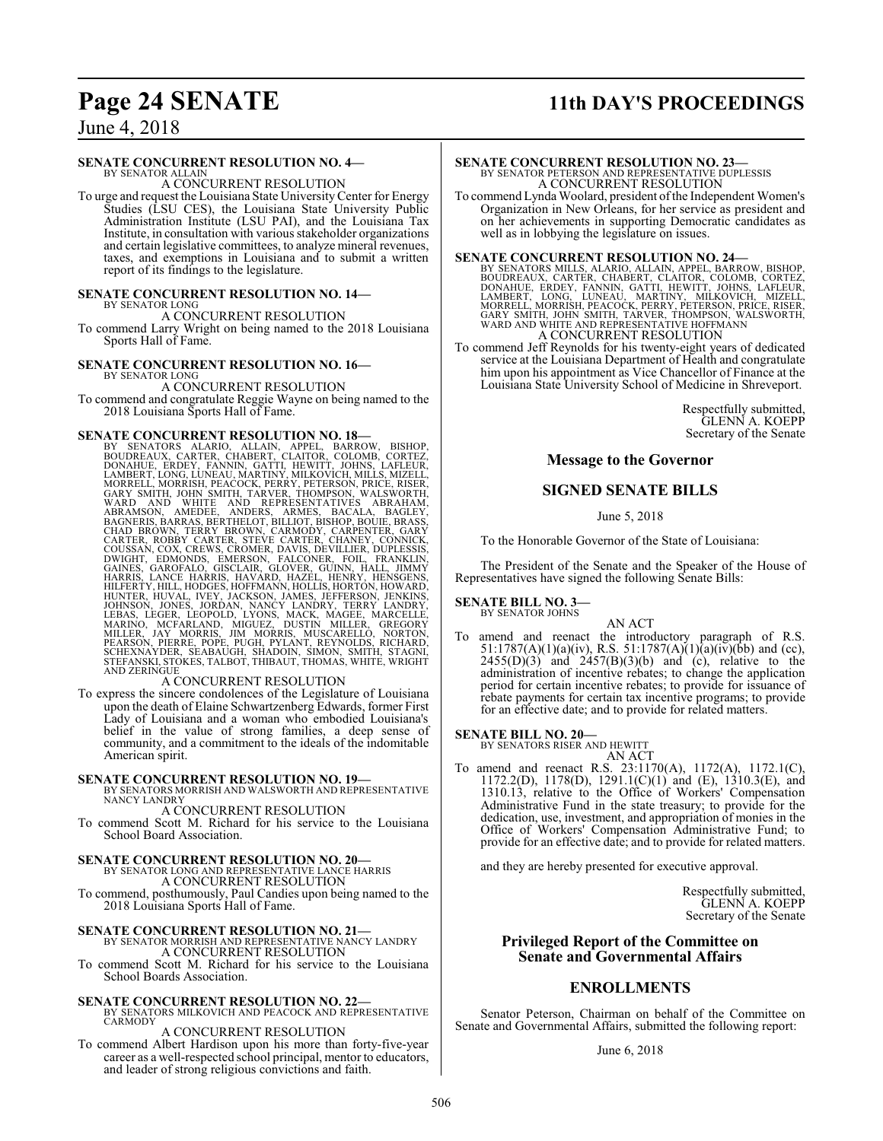# **Page 24 SENATE 11th DAY'S PROCEEDINGS**

June 4, 2018

#### **SENATE CONCURRENT RESOLUTION NO. 4—**

BY SENATOR ALLAIN A CONCURRENT RESOLUTION

To urge and request the Louisiana State UniversityCenter for Energy Studies (LSU CES), the Louisiana State University Public Administration Institute (LSU PAI), and the Louisiana Tax Institute, in consultation with various stakeholder organizations and certain legislative committees, to analyze mineral revenues, taxes, and exemptions in Louisiana and to submit a written report of its findings to the legislature.

#### **SENATE CONCURRENT RESOLUTION NO. 14—** BY SENATOR LONG

A CONCURRENT RESOLUTION

To commend Larry Wright on being named to the 2018 Louisiana Sports Hall of Fame.

#### **SENATE CONCURRENT RESOLUTION NO. 16—** BY SENATOR LONG

A CONCURRENT RESOLUTION To commend and congratulate Reggie Wayne on being named to the 2018 Louisiana Sports Hall of Fame.

#### **SENATE CONCURRENT RESOLUTION NO. 18—**

BY SENATORS ALARIO, ALLAIN, APPEL, BARROW, BISHOP, SCONTEZ, BOROUDREAUX, CARTER, CHABERT, CLAITOR, COLOMB, CORTEZ, DONAHUE, ERDEY, FANNIN, GATTI, HEWITT, JOHNS, LAFLEUR, LAMBERT, LONG, LUNEAU, MARTINY, MILKOVICH, MILKOVICH

To express the sincere condolences of the Legislature of Louisiana upon the death of Elaine Schwartzenberg Edwards, former First Lady of Louisiana and a woman who embodied Louisiana's belief in the value of strong families, a deep sense of community, and a commitment to the ideals of the indomitable American spirit.

#### **SENATE CONCURRENT RESOLUTION NO. 19—**

BY SENATORS MORRISH AND WALSWORTH AND REPRESENTATIVE NANCY LANDRY

A CONCURRENT RESOLUTION

To commend Scott M. Richard for his service to the Louisiana School Board Association.

#### **SENATE CONCURRENT RESOLUTION NO. 20—**

BY SENATOR LONG AND REPRESENTATIVE LANCE HARRIS A CONCURRENT RESOLUTION

To commend, posthumously, Paul Candies upon being named to the 2018 Louisiana Sports Hall of Fame.

**SENATE CONCURRENT RESOLUTION NO. 21—** BY SENATOR MORRISH AND REPRESENTATIVE NANCY LANDRY A CONCURRENT RESOLUTION

To commend Scott M. Richard for his service to the Louisiana School Boards Association.

**SENATE CONCURRENT RESOLUTION NO. 22—BY SENATORS MILKOVICH AND PEACOCK AND REPRESENTATIVE CARMODY** 

#### A CONCURRENT RESOLUTION

To commend Albert Hardison upon his more than forty-five-year career as a well-respected school principal, mentor to educators, and leader of strong religious convictions and faith.

## **SENATE CONCURRENT RESOLUTION NO. 23—**

BY SENATOR PETERSON AND REPRESENTATIVE DUPLESSIS A CONCURRENT RESOLUTION

To commend Lynda Woolard, president ofthe Independent Women's Organization in New Orleans, for her service as president and on her achievements in supporting Democratic candidates as well as in lobbying the legislature on issues.

SENATE CONCURRENT RESOLUTION NO. 24<br>BY SENATORS MILLS, ALARIO, ALLAIN, APPEL, BARROW, BISHOP,<br>BOUDREAUX, CARTER, CHABERT, CLAITOR, COLOMB, CORTEZ,<br>DONAHUE, ERDEY, FANNIN, GATTI, HEWITT, JOHNS, LAFLEUR,<br>LAMBERT, LONG, LUNEA

To commend Jeff Reynolds for his twenty-eight years of dedicated service at the Louisiana Department of Health and congratulate him upon his appointment as Vice Chancellor of Finance at the Louisiana State University School of Medicine in Shreveport.

> Respectfully submitted, GLENN A. KOEPP Secretary of the Senate

#### **Message to the Governor**

#### **SIGNED SENATE BILLS**

June 5, 2018

To the Honorable Governor of the State of Louisiana:

The President of the Senate and the Speaker of the House of Representatives have signed the following Senate Bills:

#### **SENATE BILL NO. 3—** BY SENATOR JOHNS

AN ACT

To amend and reenact the introductory paragraph of R.S. 51:1787(A)(1)(a)(iv), R.S. 51:1787(A)(1)(a)(iv)(bb) and (cc),  $2455(D)(3)$  and  $2457(B)(3)(b)$  and (c), relative to the administration of incentive rebates; to change the application period for certain incentive rebates; to provide for issuance of rebate payments for certain tax incentive programs; to provide for an effective date; and to provide for related matters.

**SENATE BILL NO. 20—**<br>BY SENATORS RISER AND HEWITT AN ACT

To amend and reenact R.S. 23:1170(A), 1172(A), 1172.1(C), 1172.2(D), 1178(D), 1291.1(C)(1) and (E), 1310.3(E), and 1310.13, relative to the Office of Workers' Compensation Administrative Fund in the state treasury; to provide for the dedication, use, investment, and appropriation of monies in the Office of Workers' Compensation Administrative Fund; to provide for an effective date; and to provide for related matters.

and they are hereby presented for executive approval.

Respectfully submitted, GLENN A. KOEPP Secretary of the Senate

#### **Privileged Report of the Committee on Senate and Governmental Affairs**

#### **ENROLLMENTS**

Senator Peterson, Chairman on behalf of the Committee on Senate and Governmental Affairs, submitted the following report:

June 6, 2018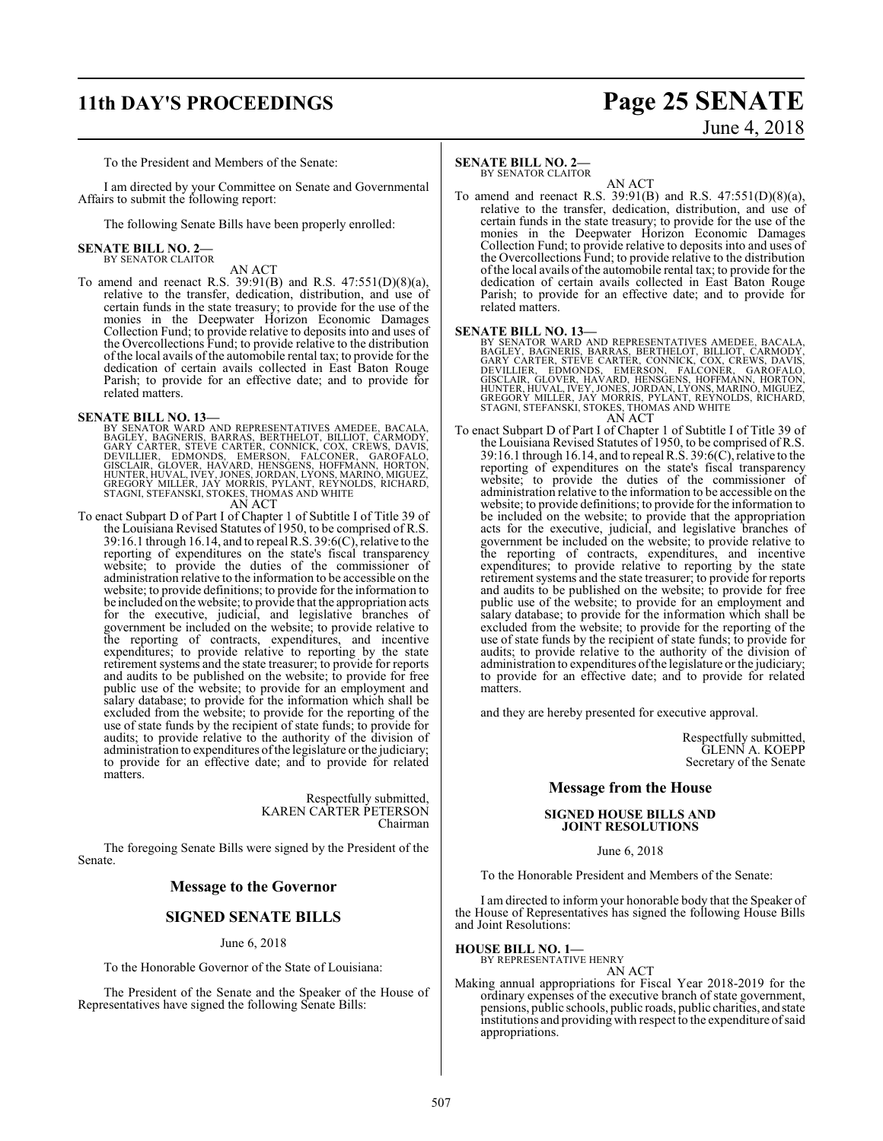# **11th DAY'S PROCEEDINGS Page 25 SENATE**

# June 4, 2018

To the President and Members of the Senate:

I am directed by your Committee on Senate and Governmental Affairs to submit the following report:

The following Senate Bills have been properly enrolled:

#### **SENATE BILL NO. 2—** BY SENATOR CLAITOR

AN ACT

To amend and reenact R.S. 39:91(B) and R.S. 47:551(D)(8)(a), relative to the transfer, dedication, distribution, and use of certain funds in the state treasury; to provide for the use of the monies in the Deepwater Horizon Economic Damages Collection Fund; to provide relative to deposits into and uses of the Overcollections Fund; to provide relative to the distribution of the local avails of the automobile rental tax; to provide for the dedication of certain avails collected in East Baton Rouge Parish; to provide for an effective date; and to provide for related matters.

**SENATE BILL NO. 13—**<br>BY SENATOR WARD AND REPRESENTATIVES AMEDEE, BACALA,<br>BAGLEY, BAGNERIS, BARRAS, BERTHELOT, BILLIOT, CARMODY,<br>GARY CARTER, STEVE CARTER, CONNICK, COX, CREWS, DAVIS,<br>DEVILLIER, EDMONDS, EMERSON, FALCONER, STAGNI, STEFANSKI, STOKES, THOMAS AND WHITE AN ACT

To enact Subpart D of Part I of Chapter 1 of Subtitle I of Title 39 of the Louisiana Revised Statutes of 1950, to be comprised of R.S. 39:16.1 through 16.14, and to repeal R.S. 39:6(C), relative to the reporting of expenditures on the state's fiscal transparency website; to provide the duties of the commissioner of administration relative to the information to be accessible on the website; to provide definitions; to provide for the information to be included on the website; to provide that the appropriation acts for the executive, judicial, and legislative branches of government be included on the website; to provide relative to the reporting of contracts, expenditures, and incentive expenditures; to provide relative to reporting by the state retirement systems and the state treasurer; to provide for reports and audits to be published on the website; to provide for free public use of the website; to provide for an employment and salary database; to provide for the information which shall be excluded from the website; to provide for the reporting of the use of state funds by the recipient of state funds; to provide for audits; to provide relative to the authority of the division of administration to expenditures ofthe legislature or the judiciary; to provide for an effective date; and to provide for related matters.

> Respectfully submitted, KAREN CARTER PETERSON Chairman

The foregoing Senate Bills were signed by the President of the Senate.

#### **Message to the Governor**

#### **SIGNED SENATE BILLS**

#### June 6, 2018

To the Honorable Governor of the State of Louisiana:

The President of the Senate and the Speaker of the House of Representatives have signed the following Senate Bills:

#### **SENATE BILL NO. 2—**

BY SENATOR CLAITOR

AN ACT To amend and reenact R.S. 39:91(B) and R.S. 47:551(D)(8)(a), relative to the transfer, dedication, distribution, and use of certain funds in the state treasury; to provide for the use of the monies in the Deepwater Horizon Economic Damages Collection Fund; to provide relative to deposits into and uses of the Overcollections Fund; to provide relative to the distribution ofthe local avails of the automobile rental tax; to provide for the dedication of certain avails collected in East Baton Rouge Parish; to provide for an effective date; and to provide for related matters.

#### **SENATE BILL NO. 13—**

BY SENATOR WARD AND REPRESENTATIVES AMEDEE, BACALA, GAGUEY, BACREER, BARRAS, BERTHELOT, BILLIOT, CARMODY,<br>GARY CARTER, EDMONDS, EMRAS, BERTHELOT, BILLIOT, CARMODY,<br>GARY CARTER, EDMONDS, EMERSON, FALCONER, GARGFALO,<br>GISCLAI AN ACT

To enact Subpart D of Part I of Chapter 1 of Subtitle I of Title 39 of the Louisiana Revised Statutes of 1950, to be comprised of R.S. 39:16.1 through 16.14, and to repeal R.S. 39:6(C), relative to the reporting of expenditures on the state's fiscal transparency website; to provide the duties of the commissioner of administration relative to the information to be accessible on the website; to provide definitions; to provide for the information to be included on the website; to provide that the appropriation acts for the executive, judicial, and legislative branches of government be included on the website; to provide relative to the reporting of contracts, expenditures, and incentive expenditures; to provide relative to reporting by the state retirement systems and the state treasurer; to provide for reports and audits to be published on the website; to provide for free public use of the website; to provide for an employment and salary database; to provide for the information which shall be excluded from the website; to provide for the reporting of the use of state funds by the recipient of state funds; to provide for audits; to provide relative to the authority of the division of administration to expenditures ofthe legislature or the judiciary; to provide for an effective date; and to provide for related matters.

and they are hereby presented for executive approval.

Respectfully submitted, GLENN A. KOEPP Secretary of the Senate

#### **Message from the House**

#### **SIGNED HOUSE BILLS AND JOINT RESOLUTIONS**

#### June 6, 2018

To the Honorable President and Members of the Senate:

I am directed to inform your honorable body that the Speaker of the House of Representatives has signed the following House Bills and Joint Resolutions:

**HOUSE BILL NO. 1—** BY REPRESENTATIVE HENRY

AN ACT

Making annual appropriations for Fiscal Year 2018-2019 for the ordinary expenses of the executive branch of state government, pensions, public schools, public roads, public charities, and state institutions and providing with respect to the expenditure of said appropriations.